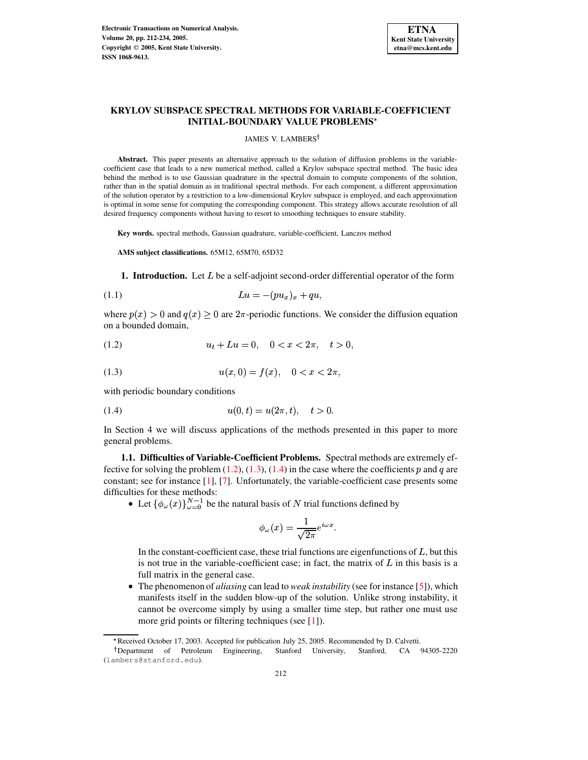

# **KRYLOV SUBSPACE SPECTRAL METHODS FOR VARIABLE-COEFFICIENT INITIAL-BOUNDARY VALUE PROBLEMS**

#### JAMES V. LAMBERS<sup>†</sup>

**Abstract.** This paper presents an alternative approach to the solution of diffusion problems in the variablecoefficient case that leads to a new numerical method, called a Krylov subspace spectral method. The basic idea behind the method is to use Gaussian quadrature in the spectral domain to compute components of the solution, rather than in the spatial domain as in traditional spectral methods. For each component, a different approximation of the solution operator by a restriction to a low-dimensional Krylov subspace is employed, and each approximation is optimal in some sense for computing the corresponding component. This strategy allows accurate resolution of all desired frequency components without having to resort to smoothing techniques to ensure stability.

**Key words.** spectral methods, Gaussian quadrature, variable-coefficient, Lanczos method

**AMS subject classifications.** 65M12, 65M70, 65D32

<span id="page-0-3"></span>**1. Introduction.** Let  $L$  be a self-adjoint second-order differential operator of the form

$$
(1.1) \t\t\t Lu = -(pu_x)_x + qu,
$$

where  $p(x) > 0$  and  $q(x) \ge 0$  are  $2\pi$ -periodic functions. We consider the diffusion equation on a bounded domain,

<span id="page-0-0"></span>
$$
(1.2) \t\t u_t + Lu = 0, \t 0 < x < 2\pi, \t t > 0,
$$

<span id="page-0-1"></span>(1.3) 
$$
u(x,0) = f(x), \quad 0 < x < 2\pi,
$$

with periodic boundary conditions

<span id="page-0-2"></span>(1.4) 
$$
u(0,t) = u(2\pi, t), \quad t > 0.
$$

In Section 4 we will discuss applications of the methods presented in this paper to more general problems.

**1.1. Difficulties of Variable-Coefficient Problems.** Spectral methods are extremely effective for solving the problem  $(1.2)$ ,  $(1.3)$ ,  $(1.4)$  in the case where the coefficients p and q are constant; see for instance [\[1\]](#page-21-0), [\[7\]](#page-21-1). Unfortunately, the variable-coefficient case presents some difficulties for these methods:

• Let  $\{\phi_\omega(x)\}_{\omega=0}^{N-1}$  be the natural basis of N trial functions defined by

$$
\phi_{\omega}(x) = \frac{1}{\sqrt{2\pi}}e^{i\omega x}.
$$

In the constant-coefficient case, these trial functions are eigenfunctions of  $L$ , but this is not true in the variable-coefficient case; in fact, the matrix of  $L$  in this basis is a full matrix in the general case.

• The phenomenon of *aliasing* can lead to *weak instability* (see for instance [\[5\]](#page-21-2)), which manifests itself in the sudden blow-up of the solution. Unlike strong instability, it cannot be overcome simply by using a smaller time step, but rather one must use more grid points or filtering techniques (see [\[1\]](#page-21-0)).

<sup>V</sup> Received October 17, 2003. Accepted for publication July 25, 2005. Recommended by D. Calvetti.

Department of Petroleum Engineering, Stanford University, Stanford, CA 94305-2220 (lambers@stanford.edu).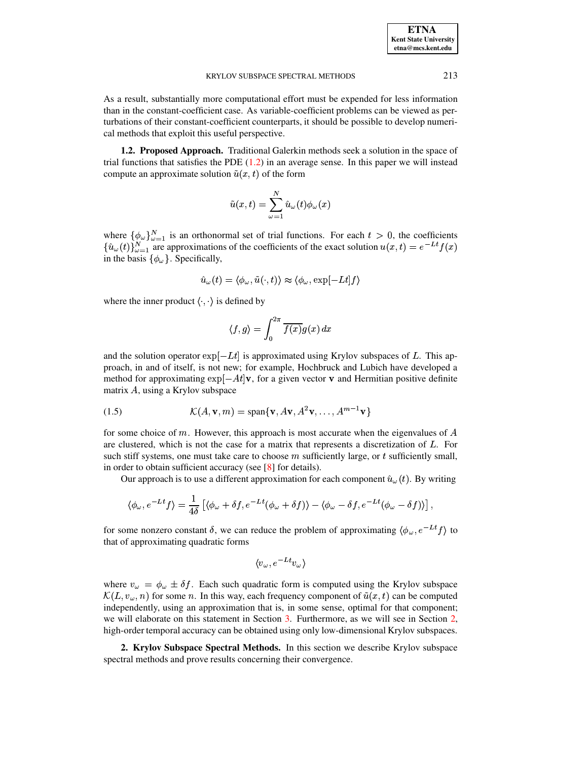As a result, substantially more computational effort must be expended for less information than in the constant-coefficient case. As variable-coefficient problems can be viewed as perturbations of their constant-coefficient counterparts, it should be possible to develop numerical methods that exploit this useful perspective.

**1.2. Proposed Approach.** Traditional Galerkin methods seek a solution in the space of trial functions that satisfies the PDE  $(1.2)$  in an average sense. In this paper we will instead compute an approximate solution  $\tilde{u}(x, t)$  of the form

$$
\tilde{u}(x,t)=\sum_{\omega=1}^N\hat{u}_{\omega}(t)\phi_{\omega}(x)
$$

where  $\{\phi_{\omega}\}_{\omega=1}^N$  is an orthonormal set of trial functions. For each  $t > 0$ , the coefficients  $\{\hat{u}_{\omega}(t)\}_{\omega=1}^{N}$  are approximations of the coefficients of the exact solution  $u(x,t) = e^{-Lt}f(x)$ in the basis  $\{\phi_\omega\}$ . Specifically,

$$
\hat{u}_\omega(t) = \langle \phi_\omega, \tilde{u}(\cdot, t) \rangle \approx \langle \phi_\omega, \exp[-Lt] f \rangle
$$

where the inner product  $\langle \cdot, \cdot \rangle$  is defined by

$$
\langle f,g\rangle=\int_0^{2\pi}\overline{f(x)}g(x)\,dx
$$

and the solution operator  $\exp[-Lt]$  is approximated using Krylov subspaces of L. This approach, in and of itself, is not new; for example, Hochbruck and Lubich have developed a method for approximating  $\exp[-At]v$ , for a given vector v and Hermitian positive definite matrix  $A$ , using a Krylov subspace

(1.5) 
$$
\mathcal{K}(A, \mathbf{v}, m) = \text{span}\{\mathbf{v}, A\mathbf{v}, A^2\mathbf{v}, \dots, A^{m-1}\mathbf{v}\}
$$

for some choice of  $m$ . However, this approach is most accurate when the eigenvalues of  $A$ are clustered, which is not the case for a matrix that represents a discretization of  $L$ . For such stiff systems, one must take care to choose  $m$  sufficiently large, or  $t$  sufficiently small, in order to obtain sufficient accuracy (see [\[8\]](#page-21-3) for details).

Our approach is to use a different approximation for each component  $\hat{u}_{\omega}(t)$ . By writing

$$
\langle \phi_\omega, e^{-Lt} f \rangle = \frac{1}{4 \delta} \left[ \langle \phi_\omega + \delta f, e^{-Lt} (\phi_\omega + \delta f) \rangle - \langle \phi_\omega - \delta f, e^{-Lt} (\phi_\omega - \delta f) \rangle \right],
$$

for some nonzero constant  $\delta$ , we can reduce the problem of approximating  $\langle \phi_\omega, e^{-Lt} f \rangle$  to that of approximating quadratic forms

$$
\langle v_\omega, e^{-Lt}v_\omega\rangle
$$

where  $v_{\omega} = \phi_{\omega} \pm \delta f$ . Each such quadratic form is computed using the Krylov subspace  $\mathcal{K}(L, v_\omega, n)$  for some n. In this way, each frequency component of  $\tilde{u}(x, t)$  can be computed independently, using an approximation that is, in some sense, optimal for that component; we will elaborate on this statement in Section [3.](#page-10-0) Furthermore, as we will see in Section [2,](#page-1-0) high-order temporal accuracy can be obtained using only low-dimensional Krylov subspaces.

<span id="page-1-0"></span>**2. Krylov Subspace Spectral Methods.** In this section we describe Krylov subspace spectral methods and prove results concerning their convergence.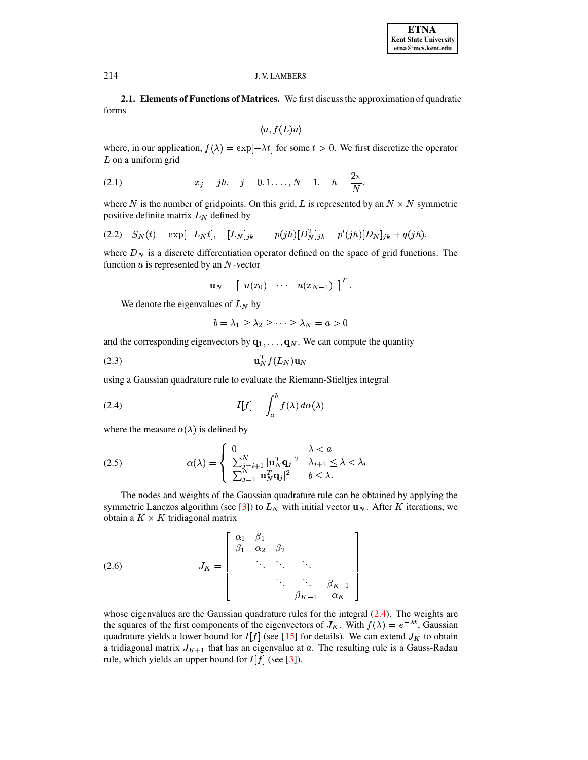**2.1. Elements of Functions of Matrices.** We first discussthe approximation of quadratic forms

$$
\langle u, f(L)u \rangle
$$

where, in our application,  $f(\lambda) = \exp[-\lambda t]$  for some  $t > 0$ . We first discretize the operator  $L$  on a uniform grid

<span id="page-2-2"></span>(2.1) 
$$
x_j = jh, \quad j = 0, 1, ..., N-1, \quad h = \frac{2\pi}{N},
$$

where N is the number of gridpoints. On this grid, L is represented by an  $N \times N$  symmetric positive definite matrix  $L<sub>N</sub>$  defined by

<span id="page-2-5"></span>
$$
(2.2) \quad S_N(t) = \exp[-L_N t], \quad [L_N]_{jk} = -p(jh)[D_N^2]_{jk} - p'(jh)[D_N]_{jk} + q(jh),
$$

where  $D_N$  is a discrete differentiation operator defined on the space of grid functions. The function  $u$  is represented by an  $N$ -vector

$$
\mathbf{u}_N = \left[ \begin{array}{ccc} u(x_0) & \cdots & u(x_{N-1}) \end{array} \right]^T.
$$

We denote the eigenvalues of  $L<sub>N</sub>$  by

<span id="page-2-1"></span>
$$
b = \lambda_1 \geq \lambda_2 \geq \cdots \geq \lambda_N = a > 0
$$

and the corresponding eigenvectors by  $\mathbf{q}_1, \dots, \mathbf{q}_N$ . We can compute the quantity

$$
\mathbf{u}_N^T f(L_N) \mathbf{u}_N
$$

using a Gaussian quadrature rule to evaluate the Riemann-Stieltjes integral

<span id="page-2-0"></span>(2.4) 
$$
I[f] = \int_{a}^{b} f(\lambda) d\alpha(\lambda)
$$

where the measure  $\alpha(\lambda)$  is defined by

<span id="page-2-4"></span>(2.5) 
$$
\alpha(\lambda) = \begin{cases} 0 & \lambda < a \\ \sum_{j=i+1}^{N} |\mathbf{u}_{N}^{T} \mathbf{q}_{j}|^{2} & \lambda_{i+1} \leq \lambda < \lambda_{i} \\ \sum_{j=1}^{N} |\mathbf{u}_{N}^{T} \mathbf{q}_{j}|^{2} & b \leq \lambda. \end{cases}
$$

The nodes and weights of the Gaussian quadrature rule can be obtained by applying the symmetric Lanczos algorithm (see [\[3\]](#page-21-4)) to  $L<sub>N</sub>$  with initial vector  $\mathbf{u}<sub>N</sub>$ . After K iterations, we obtain a  $K \times K$  tridiagonal matrix

<span id="page-2-3"></span>
$$
(2.6) \t JK = \begin{bmatrix} \alpha_1 & \beta_1 \\ \beta_1 & \alpha_2 & \beta_2 \\ \vdots & \vdots & \ddots \\ \beta_{K-1} & \alpha_K \end{bmatrix}
$$

whose eigenvalues are the Gaussian quadrature rules for the integral [\(2.4\)](#page-2-0). The weights are the squares of the first components of the eigenvectors of  $J_K$ . With  $f(\lambda) = e^{-\lambda t}$ , Gaussian and the state of the state of the state of the state of the state of the state of the state of the state of the state of the st quadrature yields a lower bound for  $I[f]$  (see [\[15\]](#page-22-0) for details). We can extend  $J_K$  to obtain a tridiagonal matrix  $J_{K+1}$  that has an eigenvalue at  $a$ . The resulting rule is a Gauss-Radau rule, which yields an upper bound for  $I[f]$  (see [\[3\]](#page-21-4)).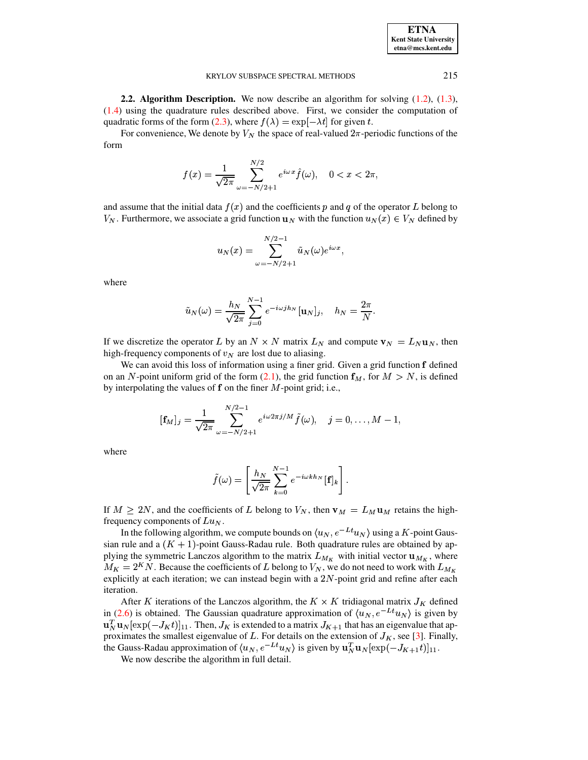| <b>ETNA</b>                  |
|------------------------------|
| <b>Kent State University</b> |
| etna@mcs.kent.edu            |

<span id="page-3-0"></span>**2.2. Algorithm Description.** We now describe an algorithm for solving  $(1.2)$ ,  $(1.3)$ ,  $(1.4)$  using the quadrature rules described above. First, we consider the computation of quadratic forms of the form (2.3), where  $f(\lambda) = \exp[-\lambda t]$  for given t.

For convenience, We denote by  $V_N$  the space of real-valued  $2\pi$ -periodic functions of the form

$$
f(x)=\frac{1}{\sqrt{2\pi}}\sum_{\omega=-N/2+1}^{N/2}e^{i\omega x}\widehat{f}(\omega),\quad 0
$$

and assume that the initial data  $f(x)$  and the coefficients p and q of the operator L belong to  $V_N$ . Furthermore, we associate a grid function  $u_N$  with the function  $u_N(x) \in V_N$  defined by

$$
u_N(x) = \sum_{\omega = -N/2+1}^{N/2-1} \tilde{u}_N(\omega) e^{i\omega x}
$$

where

$$
\tilde{u}_N(\omega) = \frac{h_N}{\sqrt{2\pi}} \sum_{j=0}^{N-1} e^{-i\omega j h_N} [\mathbf{u}_N]_j, \quad h_N = \frac{2\pi}{N}.
$$

If we discretize the operator L by an  $N \times N$  matrix  $L_N$  and compute  $\mathbf{v}_N = L_N \mathbf{u}_N$ , then high-frequency components of  $v_N$  are lost due to aliasing.

We can avoid this loss of information using a finer grid. Given a grid function f defined on an N-point uniform grid of the form (2.1), the grid function  $f_M$ , for  $M > N$ , is defined by interpolating the values of  $f$  on the finer  $M$ -point grid; i.e.,

$$
[\mathbf{f}_M]_j = \frac{1}{\sqrt{2\pi}} \sum_{\omega=-N/2+1}^{N/2-1} e^{i\omega 2\pi j/M} \tilde{f}(\omega), \quad j=0,\ldots,M-1,
$$

where

$$
\tilde{f}(\omega) = \left[\frac{h_N}{\sqrt{2\pi}} \sum_{k=0}^{N-1} e^{-i\omega k h_N} [\mathbf{f}]_k\right].
$$

If  $M \ge 2N$ , and the coefficients of L belong to  $V_N$ , then  $\mathbf{v}_M = L_M \mathbf{u}_M$  retains the highfrequency components of  $Lu<sub>N</sub>$ .

In the following algorithm, we compute bounds on  $\langle u_N, e^{-Lt}u_N \rangle$  using a K-point Gaussian rule and a  $(K + 1)$ -point Gauss-Radau rule. Both quadrature rules are obtained by applying the symmetric Lanczos algorithm to the matrix  $L_{M_K}$  with initial vector  $\mathbf{u}_{M_K}$ , where  $M_K = 2^K N$ . Because the coefficients of L belong to  $V_N$ , we do not need to work with  $L_{M_K}$ explicitly at each iteration; we can instead begin with a  $2N$ -point grid and refine after each iteration.

After K iterations of the Lanczos algorithm, the  $K \times K$  tridiagonal matrix  $J_K$  defined in (2.6) is obtained. The Gaussian quadrature approximation of  $\langle u_N, e^{-Lt}u_N \rangle$  is given by  $\mathbf{u}_N^T \mathbf{u}_N[\exp(-J_K t)]_{11}$ . Then,  $J_K$  is extended to a matrix  $J_{K+1}$  that has an eigenvalue that approximates the smallest eigenvalue of L. For details on the extension of  $J_K$ , see [3]. Finally, the Gauss-Radau approximation of  $\langle u_N, e^{-Lt}u_N \rangle$  is given by  $\mathbf{u}_N^T \mathbf{u}_N[\exp(-J_{K+1}t)]_{11}$ .

We now describe the algorithm in full detail.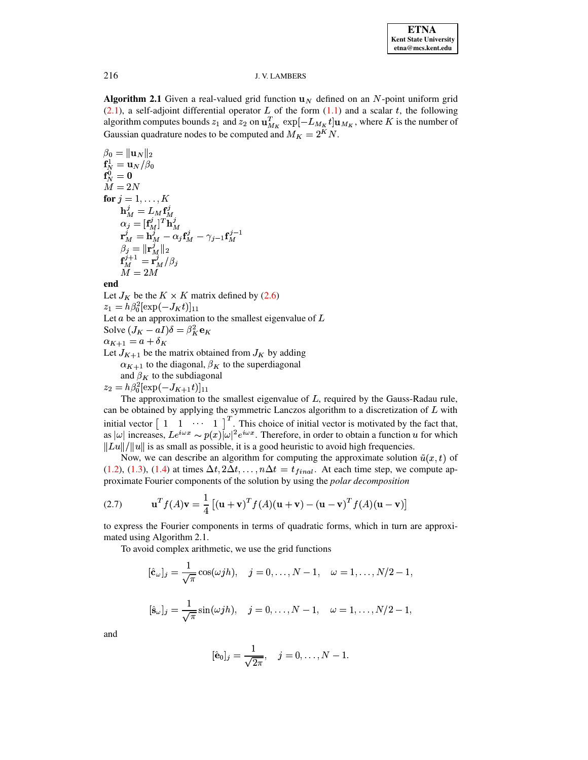**Algorithm 2.1** Given a real-valued grid function  $\mathbf{u}_N$  defined on an N-point uniform grid  $(2.1)$ , a self-adjoint differential operator L of the form  $(1.1)$  and a scalar t, the following algorithm computes bounds  $z_1$  and  $z_2$  on  $\mathbf{u}_{M_K}^T \exp[-L_{M_K} t] \mathbf{u}_{M_K}$ , where K is the number of Gaussian quadrature nodes to be computed and  $M_K = 2^K N$ .

 $\beta_0 = \|\mathbf{u}_N\|_2$  $\begin{array}{l} \mathbf{f}^1_N = \mathbf{u}_N/\beta_0\\ \mathbf{f}^0_N = \mathbf{0} \end{array}$  $\ddot{M} = 2N$ for  $j = 1, \ldots, K$  $\mathbf{h}_M^j = L_M \mathbf{f}_M^j$  $\begin{array}{l} {\bf u}_M - \nu_M {\bf 1}_M \ {\bf v}_j = [{\bf f}_M^j]^T {\bf h}_M^j \ {\bf r}_M^j = {\bf h}_M^j - \alpha_j {\bf f}_M^j - \gamma_{j-1} {\bf f}_M^{j-1} \ {\bf f}_j^j = \|{\bf r}_M^j\|_2 \ {\bf f}_M^{j+1} = {\bf r}_M^j/\beta_j \ M = 2M \end{array}$ 

end

Let  $J_K$  be the  $K \times K$  matrix defined by (2.6)  $z_1 = h\beta_0^2[\exp(-J_Kt)]_{11}$ Let  $a$  be an approximation to the smallest eigenvalue of  $L$ Solve  $(J_K - aI)\delta = \beta_K^2 \mathbf{e}_K$  $\alpha_{K+1} = a + \delta_K$ Let  $J_{K+1}$  be the matrix obtained from  $J_K$  by adding  $\alpha_{K+1}$  to the diagonal,  $\beta_K$  to the superdiagonal and  $\beta_K$  to the subdiagonal  $z_2 = h\beta_0^2[\exp(-J_{K+1}t)]_{11}$ 

The approximation to the smallest eigenvalue of  $L$ , required by the Gauss-Radau rule, can be obtained by applying the symmetric Lanczos algorithm to a discretization of L with<br>initial vector  $\begin{bmatrix} 1 & 1 & \cdots & 1 \end{bmatrix}^T$ . This choice of initial vector is motivated by the fact that,<br>as  $|\omega|$  increases,  $Le^{i\$  $||Lu||/||u||$  is as small as possible, it is a good heuristic to avoid high frequencies.

Now, we can describe an algorithm for computing the approximate solution  $\tilde{u}(x, t)$  of (1.2), (1.3), (1.4) at times  $\Delta t$ ,  $2\Delta t$ , ...,  $n\Delta t = t_{final}$ . At each time step, we compute approximate Fourier components of the solution by using the *polar decomposition* 

<span id="page-4-0"></span>(2.7) 
$$
\mathbf{u}^T f(A) \mathbf{v} = \frac{1}{4} \left[ (\mathbf{u} + \mathbf{v})^T f(A) (\mathbf{u} + \mathbf{v}) - (\mathbf{u} - \mathbf{v})^T f(A) (\mathbf{u} - \mathbf{v}) \right]
$$

to express the Fourier components in terms of quadratic forms, which in turn are approximated using Algorithm 2.1.

To avoid complex arithmetic, we use the grid functions

$$
[\hat{\mathbf{c}}_{\omega}]_j = \frac{1}{\sqrt{\pi}} \cos(\omega j h), \quad j = 0, \dots, N - 1, \quad \omega = 1, \dots, N/2 - 1,
$$
  

$$
[\hat{\mathbf{s}}_{\omega}]_j = \frac{1}{\sqrt{\pi}} \sin(\omega j h), \quad j = 0, \dots, N - 1, \quad \omega = 1, \dots, N/2 - 1,
$$

and

$$
[\hat{\mathbf{e}}_0]_j = \frac{1}{\sqrt{2\pi}}, \quad j = 0, \dots, N-1.
$$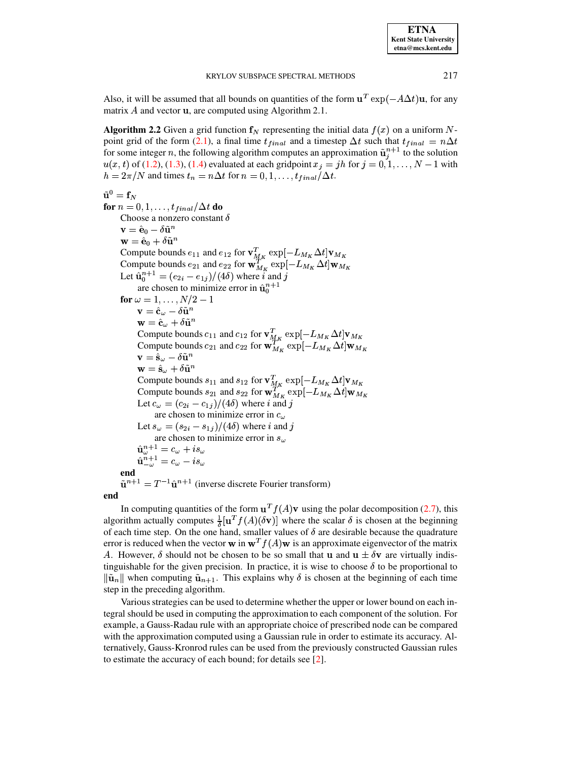217

Also, it will be assumed that all bounds on quantities of the form  $\mathbf{u}^T \exp(-A\Delta t)\mathbf{u}$ , for any matrix  $A$  and vector  $\bf{u}$ , are computed using Algorithm 2.1.

**Algorithm 2.2** Given a grid function  $f_N$  representing the initial data  $f(x)$  on a uniform Npoint grid of the form (2.1), a final time  $t_{final}$  and a timestep  $\Delta t$  such that  $t_{final} = n\Delta t$ for some integer n, the following algorithm computes an approximation  $\tilde{\mathbf{u}}_i^{n+1}$  to the solution  $u(x, t)$  of (1.2), (1.3), (1.4) evaluated at each gridpoint  $x_j = jh$  for  $j = 0, 1, ..., N - 1$  with  $h = 2\pi/N$  and times  $t_n = n\Delta t$  for  $n = 0, 1, \ldots, t_{final}/\Delta t$ .

$$
\tilde{\mathbf{u}}^0 = \mathbf{f}_N
$$
  
for  $n = 0$ ,

 $1, \ldots, t_{final}/\Delta t$  do Choose a nonzero constant  $\delta$  $\mathbf{v} = \hat{\mathbf{e}}_0 - \delta \tilde{\mathbf{u}}^n$  $\mathbf{w} = \hat{\mathbf{e}}_0 + \delta \tilde{\mathbf{u}}^n$ Compute bounds  $e_{11}$  and  $e_{12}$  for  $\mathbf{v}_{M_K}^T \exp[-L_{M_K} \Delta t] \mathbf{v}_{M_K}$ <br>Compute bounds  $e_{21}$  and  $e_{22}$  for  $\mathbf{w}_{M_K}^T \exp[-L_{M_K} \Delta t] \mathbf{w}_{M_K}$ <br>Let  $\hat{\mathbf{u}}_0^{n+1} = (e_{2i} - e_{1j})/(4\delta)$  where *i* and *j* are chosen to minimize error in  $\hat{u}_0^{n+1}$ for  $\omega = 1, ..., N/2 - 1$  $\mathbf{v} = \hat{\mathbf{c}}_{\omega} - \delta \tilde{\mathbf{u}}^{n}$  $\mathbf{w} = \hat{\mathbf{c}}_{\omega} + \delta \tilde{\mathbf{u}}^n$ Compute bounds  $c_{11}$  and  $c_{12}$  for  $\mathbf{v}_{M_K}^T \exp[-L_{M_K} \Delta t] \mathbf{v}_{M_K}$ <br>Compute bounds  $c_{21}$  and  $c_{22}$  for  $\mathbf{w}_{M_K}^T \exp[-L_{M_K} \Delta t] \mathbf{w}_{M_K}$  $\mathbf{v} = \hat{\mathbf{s}}_{\omega} - \delta \tilde{\mathbf{u}}^{n}$  $\mathbf{w} = \hat{\mathbf{s}}_{\omega} + \delta \tilde{\mathbf{u}}^{n}$ Compute bounds  $s_{11}$  and  $s_{12}$  for  $\mathbf{v}_{M_K}^T \exp[-L_{M_K} \Delta t] \mathbf{v}_{M_K}$ <br>Compute bounds  $s_{21}$  and  $s_{22}$  for  $\mathbf{w}_{M_K}^T \exp[-L_{M_K} \Delta t] \mathbf{w}_{M_K}$ Let  $c_{\omega} = (c_{2i} - c_{1j})/(4\delta)$  where *i* and *j* are chosen to minimize error in  $c_{\mu}$ Let  $s_{\omega} = (s_{2i} - s_{1j})/(4\delta)$  where *i* and *j* are chosen to minimize error in  $s_{\omega}$  $\begin{array}{l} \hat{\mathbf{u}}_{\omega}^{n+1} = c_{\omega} + i s_{\omega} \\ \hat{\mathbf{u}}_{-\omega}^{n+1} = c_{\omega} - i s_{\omega} \end{array}$ end  $\tilde{\mathbf{u}}^{n+1} = T^{-1} \hat{\mathbf{u}}^{n+1}$  (inverse discrete Fourier transform)

end

In computing quantities of the form  $\mathbf{u}^T f(A) \mathbf{v}$  using the polar decomposition (2.7), this algorithm actually computes  $\frac{1}{\delta}[\mathbf{u}^T f(A)(\delta \mathbf{v})]$  where the scalar  $\delta$  is chosen at the beginning of each time step. On the one hand, smaller values of  $\delta$  are desirable because the quadrature error is reduced when the vector **w** in  $\mathbf{w}^T f(A) \mathbf{w}$  is an approximate eigenvector of the matrix A. However,  $\delta$  should not be chosen to be so small that **u** and  $\mathbf{u} \pm \delta \mathbf{v}$  are virtually indistinguishable for the given precision. In practice, it is wise to choose  $\delta$  to be proportional to  $\|\tilde{\mathbf{u}}_n\|$  when computing  $\tilde{\mathbf{u}}_{n+1}$ . This explains why  $\delta$  is chosen at the beginning of each time step in the preceding algorithm.

Various strategies can be used to determine whether the upper or lower bound on each integral should be used in computing the approximation to each component of the solution. For example, a Gauss-Radau rule with an appropriate choice of prescribed node can be compared with the approximation computed using a Gaussian rule in order to estimate its accuracy. Alternatively, Gauss-Kronrod rules can be used from the previously constructed Gaussian rules to estimate the accuracy of each bound; for details see [2].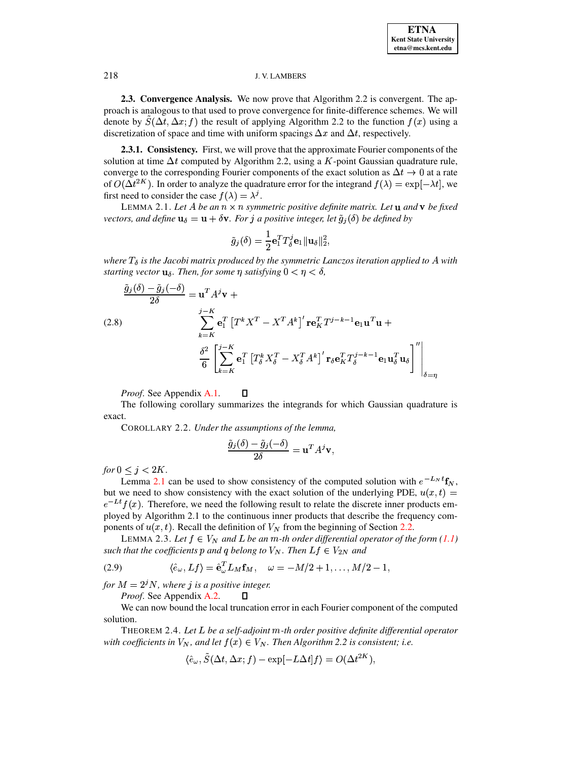2.3. Convergence Analysis. We now prove that Algorithm 2.2 is convergent. The approach is analogous to that used to prove convergence for finite-difference schemes. We will denote by  $S(\Delta t, \Delta x; f)$  the result of applying Algorithm 2.2 to the function  $f(x)$  using a discretization of space and time with uniform spacings  $\Delta x$  and  $\Delta t$ , respectively.

**2.3.1. Consistency.** First, we will prove that the approximate Fourier components of the solution at time  $\Delta t$  computed by Algorithm 2.2, using a K-point Gaussian quadrature rule, converge to the corresponding Fourier components of the exact solution as  $\Delta t \rightarrow 0$  at a rate of  $O(\Delta t^{2K})$ . In order to analyze the quadrature error for the integrand  $f(\lambda) = \exp[-\lambda t]$ , we first need to consider the case  $f(\lambda) = \lambda^{j}$ .

<span id="page-6-0"></span>LEMMA 2.1. Let A be an  $n \times n$  symmetric positive definite matrix. Let **u** and **v** be fixed vectors, and define  $\mathbf{u}_{\delta} = \mathbf{u} + \delta \mathbf{v}$ . For j a positive integer, let  $\tilde{g}_i(\delta)$  be defined by

$$
\tilde{g}_j(\delta) = \frac{1}{2} \mathbf{e}_1^T T_{\delta}^j \mathbf{e}_1 || \mathbf{u}_{\delta} ||_2^2,
$$

where  $T_{\delta}$  is the Jacobi matrix produced by the symmetric Lanczos iteration applied to A with starting vector  $\mathbf{u}_{\delta}$ . Then, for some  $\eta$  satisfying  $0 < \eta < \delta$ ,

(2.8)  
\n
$$
\frac{\tilde{g}_j(\delta) - \tilde{g}_j(-\delta)}{2\delta} = \mathbf{u}^T A^j \mathbf{v} +
$$
\n
$$
\sum_{k=K}^{j-K} \mathbf{e}_1^T \left[ T^k X^T - X^T A^k \right]' \mathbf{r} \mathbf{e}_K^T T^{j-k-1} \mathbf{e}_1 \mathbf{u}^T \mathbf{u} +
$$
\n
$$
\frac{\delta^2}{6} \left[ \sum_{k=K}^{j-K} \mathbf{e}_1^T \left[ T^k \mathbf{X}^T_\delta - X^T_\delta A^k \right]' \mathbf{r}_\delta \mathbf{e}_K^T T^{j-k-1}_\delta \mathbf{e}_1 \mathbf{u}_\delta^T \mathbf{u}_\delta \right]'' \Big|_{\delta=\eta}
$$

Proof. See Appendix A.1.  $\Box$ 

The following corollary summarizes the integrands for which Gaussian quadrature is exact.

COROLLARY 2.2. Under the assumptions of the lemma,

$$
\frac{\tilde{g}_j(\delta) - \tilde{g}_j(-\delta)}{2\delta} = \mathbf{u}^T A^j \mathbf{v},
$$

for  $0 \leq j < 2K$ .

Lemma 2.1 can be used to show consistency of the computed solution with  $e^{-L_N t}$ **f**<sub>N</sub>, but we need to show consistency with the exact solution of the underlying PDE,  $u(x,t)$  =  $e^{-Lt}f(x)$ . Therefore, we need the following result to relate the discrete inner products employed by Algorithm 2.1 to the continuous inner products that describe the frequency components of  $u(x, t)$ . Recall the definition of  $V_N$  from the beginning of Section 2.2.

<span id="page-6-1"></span>LEMMA 2.3. Let  $f \in V_N$  and L be an m-th order differential operator of the form (1.1) such that the coefficients p and q belong to  $V_N$ . Then  $Lf \in V_{2N}$  and

<span id="page-6-2"></span>(2.9) 
$$
\langle \hat{e}_{\omega}, Lf \rangle = \hat{\mathbf{e}}_{\omega}^T L_M \mathbf{f}_M, \quad \omega = -M/2 + 1, \dots, M/2 - 1,
$$

for  $M = 2^j N$ , where j is a positive integer.

Proof. See Appendix A.2.  $\Box$ 

We can now bound the local truncation error in each Fourier component of the computed solution.

THEOREM 2.4. Let L be a self-adjoint m-th order positive definite differential operator with coefficients in  $V_N$ , and let  $f(x) \in V_N$ . Then Algorithm 2.2 is consistent; i.e.

$$
\langle \hat{e}_{\omega}, S(\Delta t, \Delta x; f) - \exp[-L\Delta t] f \rangle = O(\Delta t^{2K}),
$$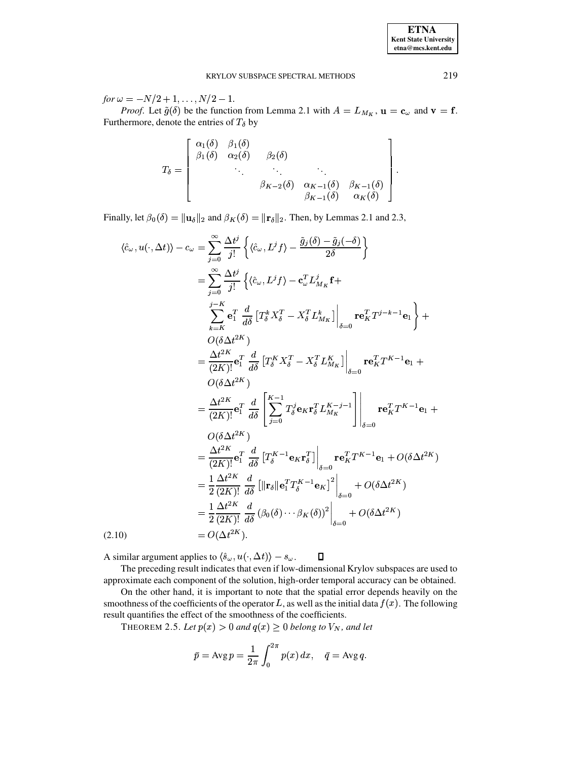for  $\omega = -N/2 + 1, \ldots, N/2 - 1$ .

*Proof.* Let  $\tilde{g}(\delta)$  be the function from Lemma 2.1 with  $A = L_{M_K}$ ,  $\mathbf{u} = \mathbf{c}_{\omega}$  and  $\mathbf{v} = \mathbf{f}$ . Furthermore, denote the entries of  $T_{\delta}$  by

$$
T_{\delta} = \begin{bmatrix} \alpha_1(\delta) & \beta_1(\delta) & & & \\ \beta_1(\delta) & \alpha_2(\delta) & \beta_2(\delta) & & \\ & \ddots & \ddots & \ddots & \\ & & \beta_{K-2}(\delta) & \alpha_{K-1}(\delta) & \beta_{K-1}(\delta) \\ & & & \beta_{K-1}(\delta) & \alpha_K(\delta) \end{bmatrix}
$$

Finally, let  $\beta_0(\delta) = ||\mathbf{u}_{\delta}||_2$  and  $\beta_K(\delta) = ||\mathbf{r}_{\delta}||_2$ . Then, by Lemmas 2.1 and 2.3,

$$
\langle \hat{c}_{\omega}, u(\cdot, \Delta t) \rangle - c_{\omega} = \sum_{j=0}^{\infty} \frac{\Delta t^{j}}{j!} \left\{ \langle \hat{c}_{\omega}, L^{j} f \rangle - \frac{\tilde{g}_{j}(\delta) - \tilde{g}_{j}(-\delta)}{2\delta} \right\}
$$
  
\n
$$
= \sum_{j=0}^{\infty} \frac{\Delta t^{j}}{j!} \left\{ \langle \hat{c}_{\omega}, L^{j} f \rangle - \mathbf{c}_{\omega}^{T} L_{M_{K}}^{j} f + \frac{\sum_{k=K}^{K} \mathbf{c}_{1}^{T} d_{\delta} \left[ T_{\delta}^{k} X_{\delta}^{T} - X_{\delta}^{T} L_{M_{K}}^{k} \right] \Big|_{\delta=0} \mathbf{r} \mathbf{e}_{K}^{T} T^{j-k-1} \mathbf{e}_{1} \right\} + O(\delta \Delta t^{2K})
$$
  
\n
$$
= \frac{\Delta t^{2K}}{(2K)!} \mathbf{e}_{1}^{T} \frac{d}{d\delta} \left[ T_{\delta}^{K} X_{\delta}^{T} - X_{\delta}^{T} L_{M_{K}}^{K} \right] \Big|_{\delta=0} \mathbf{r} \mathbf{e}_{K}^{T} T^{K-1} \mathbf{e}_{1} + O(\delta \Delta t^{2K})
$$
  
\n
$$
= \frac{\Delta t^{2K}}{(2K)!} \mathbf{e}_{1}^{T} \frac{d}{d\delta} \left[ \sum_{j=0}^{K-1} T_{\delta}^{j} \mathbf{e}_{K} \mathbf{r}_{\delta}^{T} L_{M_{K}}^{K-j-1} \right] \Big|_{\delta=0} \mathbf{r} \mathbf{e}_{K}^{T} T^{K-1} \mathbf{e}_{1} + O(\delta \Delta t^{2K})
$$
  
\n
$$
= \frac{\Delta t^{2K}}{(2K)!} \mathbf{e}_{1}^{T} \frac{d}{d\delta} \left[ T_{\delta}^{K-1} \mathbf{e}_{K} \mathbf{r}_{\delta}^{T} \right] \Big|_{\delta=0} \mathbf{r} \mathbf{e}_{K}^{T} T^{K-1} \mathbf{e}_{1} + O(\delta \Delta t^{2K})
$$
  
\n
$$
= \frac{1}{2
$$

A similar argument applies to  $\langle \hat{s}_{\omega}, u(\cdot, \Delta t) \rangle - s_{\omega}$ .

The preceding result indicates that even if low-dimensional Krylov subspaces are used to approximate each component of the solution, high-order temporal accuracy can be obtained.

 $\Box$ 

<span id="page-7-0"></span>On the other hand, it is important to note that the spatial error depends heavily on the smoothness of the coefficients of the operator L, as well as the initial data  $f(x)$ . The following result quantifies the effect of the smoothness of the coefficients.

THEOREM 2.5. Let  $p(x) > 0$  and  $q(x) \ge 0$  belong to  $V_N$ , and let

$$
\bar{p} = \operatorname{Avg} p = \frac{1}{2\pi} \int_0^{2\pi} p(x) \, dx, \quad \bar{q} = \operatorname{Avg} q.
$$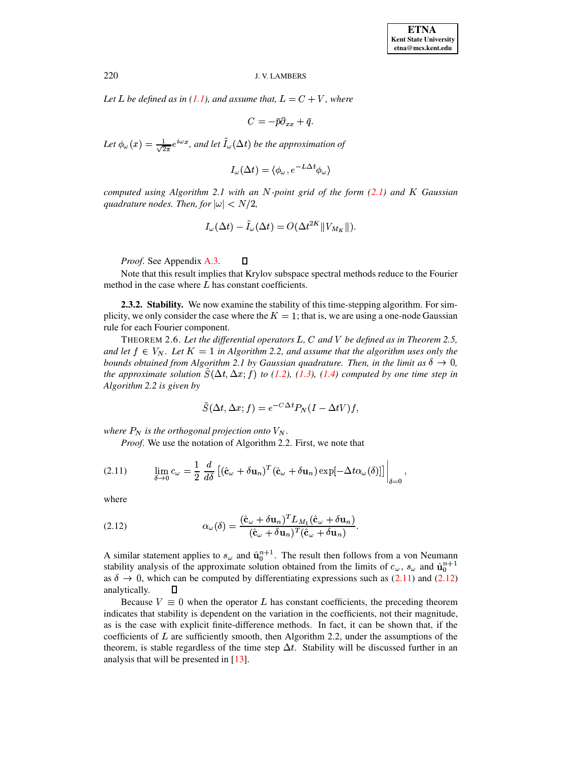Let L be defined as in (1.1), and assume that,  $L = C + V$ , where

 $C = -\bar{p}\partial_{xx} + \bar{q}.$ 

Let  $\phi_{\omega}(x) = \frac{1}{\sqrt{2\pi}}e^{i\omega x}$ , and let  $\tilde{I}_{\omega}(\Delta t)$  be the approximation of

$$
I_{\omega}(\Delta t) = \langle \phi_{\omega}, e^{-L\Delta t} \phi_{\omega} \rangle
$$

computed using Algorithm 2.1 with an N-point grid of the form  $(2.1)$  and K Gaussian quadrature nodes. Then, for  $|\omega| < N/2$ ,

$$
I_{\omega}(\Delta t) - I_{\omega}(\Delta t) = O(\Delta t^{2K} || V_{M_K} ||)
$$

*Proof.* See Appendix A.3.

Note that this result implies that Krylov subspace spectral methods reduce to the Fourier method in the case where  $L$  has constant coefficients.

2.3.2. Stability. We now examine the stability of this time-stepping algorithm. For simplicity, we only consider the case where the  $K = 1$ ; that is, we are using a one-node Gaussian rule for each Fourier component.

THEOREM 2.6. Let the differential operators  $L, C$  and  $V$  be defined as in Theorem 2.5, and let  $f \in V_N$ . Let  $K = 1$  in Algorithm 2.2, and assume that the algorithm uses only the bounds obtained from Algorithm 2.1 by Gaussian quadrature. Then, in the limit as  $\delta \to 0$ , the approximate solution  $\tilde{S}(\Delta t, \Delta x; f)$  to (1.2), (1.3), (1.4) computed by one time step in Algorithm 2.2 is given by

$$
\tilde{S}(\Delta t, \Delta x; f) = e^{-C\Delta t} P_N (I - \Delta t V) f,
$$

where  $P_N$  is the orthogonal projection onto  $V_N$ .

Proof. We use the notation of Algorithm 2.2. First, we note that

 $\Box$ 

<span id="page-8-0"></span>(2.11) 
$$
\lim_{\delta \to 0} c_{\omega} = \frac{1}{2} \frac{d}{d\delta} \left[ (\hat{\mathbf{c}}_{\omega} + \delta \mathbf{u}_n)^T (\hat{\mathbf{c}}_{\omega} + \delta \mathbf{u}_n) \exp[-\Delta t \alpha_{\omega}(\delta)] \right] \Big|_{\delta = 0}
$$

where

<span id="page-8-1"></span>(2.12) 
$$
\alpha_{\omega}(\delta) = \frac{(\hat{\mathbf{c}}_{\omega} + \delta \mathbf{u}_n)^T L_{M_1}(\hat{\mathbf{c}}_{\omega} + \delta \mathbf{u}_n)}{(\hat{\mathbf{c}}_{\omega} + \delta \mathbf{u}_n)^T (\hat{\mathbf{c}}_{\omega} + \delta \mathbf{u}_n)}.
$$

A similar statement applies to  $s_{\omega}$  and  $\hat{\mathbf{u}}_0^{n+1}$ . The result then follows from a von Neumann stability analysis of the approximate solution obtained from the limits of  $c_{\omega}$ ,  $s_{\omega}$  and  $\hat{\mathbf{u}}_0^{n+1}$ as  $\delta \to 0$ , which can be computed by differentiating expressions such as (2.11) and (2.12) analytically. П

Because  $V \equiv 0$  when the operator L has constant coefficients, the preceding theorem indicates that stability is dependent on the variation in the coefficients, not their magnitude, as is the case with explicit finite-difference methods. In fact, it can be shown that, if the coefficients of  $L$  are sufficiently smooth, then Algorithm 2.2, under the assumptions of the theorem, is stable regardless of the time step  $\Delta t$ . Stability will be discussed further in an analysis that will be presented in  $[13]$ .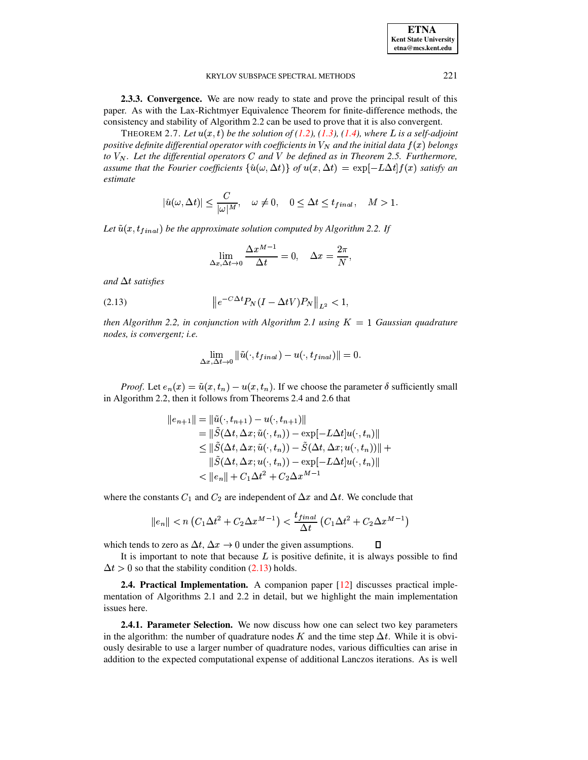| <b>ETNA</b>                  |
|------------------------------|
| <b>Kent State University</b> |
| etna@mcs.kent.edu            |

2.3.3. Convergence. We are now ready to state and prove the principal result of this paper. As with the Lax-Richtmyer Equivalence Theorem for finite-difference methods, the consistency and stability of Algorithm 2.2 can be used to prove that it is also convergent.

THEOREM 2.7. Let  $u(x, t)$  be the solution of (1.2), (1.3), (1.4), where L is a self-adjoint positive definite differential operator with coefficients in  $V_N$  and the initial data  $f(x)$  belongs to  $V_N$ . Let the differential operators C and V be defined as in Theorem 2.5. Furthermore, assume that the Fourier coefficients  $\{\hat{u}(\omega, \Delta t)\}\$  of  $u(x, \Delta t) = \exp[-L\Delta t]f(x)$  satisfy an estimate

$$
|\hat{u}(\omega, \Delta t)| \le \frac{C}{|\omega|^M}, \quad \omega \ne 0, \quad 0 \le \Delta t \le t_{final}, \quad M > 1
$$

Let  $\tilde{u}(x, t_{final})$  be the approximate solution computed by Algorithm 2.2. If

$$
\lim_{\Delta x, \Delta t \to 0} \frac{\Delta x^{M-1}}{\Delta t} = 0, \quad \Delta x = \frac{2\pi}{N}.
$$

and  $\Delta t$  satisfies

<span id="page-9-0"></span>(2.13) 
$$
\|e^{-C\Delta t}P_N(I - \Delta t V)P_N\|_{L^2} < 1,
$$

then Algorithm 2.2, in conjunction with Algorithm 2.1 using  $K = 1$  Gaussian quadrature nodes, is convergent; i.e.

$$
\lim_{\Delta x,\,\Delta t\to 0} \|\tilde{u}(\cdot,t_{final})-u(\cdot,t_{final})\|=0.
$$

*Proof.* Let  $e_n(x) = \tilde{u}(x, t_n) - u(x, t_n)$ . If we choose the parameter  $\delta$  sufficiently small in Algorithm 2.2, then it follows from Theorems 2.4 and 2.6 that

$$
|e_{n+1}|| = ||\tilde{u}(\cdot, t_{n+1}) - u(\cdot, t_{n+1})||
$$
  
\n
$$
= ||\tilde{S}(\Delta t, \Delta x; \tilde{u}(\cdot, t_n)) - \exp[-L\Delta t]u(\cdot, t_n)||
$$
  
\n
$$
\leq ||\tilde{S}(\Delta t, \Delta x; \tilde{u}(\cdot, t_n)) - \tilde{S}(\Delta t, \Delta x; u(\cdot, t_n))|| +
$$
  
\n
$$
||\tilde{S}(\Delta t, \Delta x; u(\cdot, t_n)) - \exp[-L\Delta t]u(\cdot, t_n)||
$$
  
\n
$$
< ||e_n|| + C_1\Delta t^2 + C_2\Delta x^{M-1}
$$

where the constants  $C_1$  and  $C_2$  are independent of  $\Delta x$  and  $\Delta t$ . We conclude that

$$
||e_n|| < n \left( C_1 \Delta t^2 + C_2 \Delta x^{M-1} \right) < \frac{t_{final}}{\Delta t} \left( C_1 \Delta t^2 + C_2 \Delta x^{M-1} \right)
$$

which tends to zero as  $\Delta t$ ,  $\Delta x \rightarrow 0$  under the given assumptions. П

It is important to note that because  $L$  is positive definite, it is always possible to find  $\Delta t > 0$  so that the stability condition (2.13) holds.

**2.4. Practical Implementation.** A companion paper [12] discusses practical implementation of Algorithms 2.1 and 2.2 in detail, but we highlight the main implementation issues here.

**2.4.1. Parameter Selection.** We now discuss how one can select two key parameters in the algorithm: the number of quadrature nodes K and the time step  $\Delta t$ . While it is obviously desirable to use a larger number of quadrature nodes, various difficulties can arise in addition to the expected computational expense of additional Lanczos iterations. As is well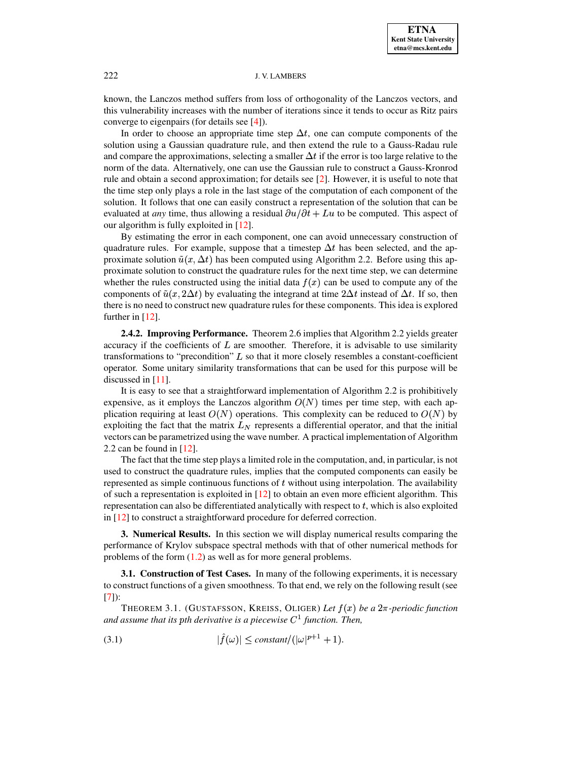known, the Lanczos method suffers from loss of orthogonality of the Lanczos vectors, and this vulnerability increases with the number of iterations since it tends to occur as Ritz pairs converge to eigenpairs (for details see [\[4\]](#page-21-6)).

In order to choose an appropriate time step  $\Delta t$ , one can compute components of the solution using a Gaussian quadrature rule, and then extend the rule to a Gauss-Radau rule and compare the approximations, selecting a smaller  $\Delta t$  if the error is too large relative to the norm of the data. Alternatively, one can use the Gaussian rule to construct a Gauss-Kronrod rule and obtain a second approximation; for details see [\[2\]](#page-21-5). However, it is useful to note that the time step only plays a role in the last stage of the computation of each component of the solution. It follows that one can easily construct a representation of the solution that can be evaluated at *any* time, thus allowing a residual  $\partial u/\partial t + Lu$  to be computed. This aspect of our algorithm is fully exploited in [\[12\]](#page-22-2).

By estimating the error in each component, one can avoid unnecessary construction of quadrature rules. For example, suppose that a timestep  $\Delta t$  has been selected, and the approximate solution  $\tilde{u}(x, \Delta t)$  has been computed using Algorithm 2.2. Before using this approximate solution to construct the quadrature rules for the next time step, we can determine whether the rules constructed using the initial data  $f(x)$  can be used to compute any of the components of  $\tilde{u}(x, 2\Delta t)$  by evaluating the integrand at time  $2\Delta t$  instead of  $\Delta t$ . If so, then there is no need to construct new quadrature rules for these components. This idea is explored further in [\[12\]](#page-22-2).

**2.4.2. Improving Performance.** Theorem 2.6 implies that Algorithm 2.2 yields greater accuracy if the coefficients of  $L$  are smoother. Therefore, it is advisable to use similarity transformations to "precondition"  $L$  so that it more closely resembles a constant-coefficient operator. Some unitary similarity transformations that can be used for this purpose will be discussed in [\[11\]](#page-22-3).

It is easy to see that a straightforward implementation of Algorithm 2.2 is prohibitively expensive, as it employs the Lanczos algorithm  $O(N)$  times per time step, with each application requiring at least  $O(N)$  operations. This complexity can be reduced to  $O(N)$  by exploiting the fact that the matrix  $L<sub>N</sub>$  represents a differential operator, and that the initial vectors can be parametrized using the wave number. A practical implementation of Algorithm 2.2 can be found in  $[12]$ .

The fact that the time step plays a limited role in the computation, and, in particular, is not used to construct the quadrature rules, implies that the computed components can easily be represented as simple continuous functions of  $t$  without using interpolation. The availability of such a representation is exploited in [\[12\]](#page-22-2) to obtain an even more efficient algorithm. This representation can also be differentiated analytically with respect to  $t$ , which is also exploited in [\[12\]](#page-22-2) to construct a straightforward procedure for deferred correction.

<span id="page-10-0"></span>**3. Numerical Results.** In this section we will display numerical results comparing the performance of Krylov subspace spectral methods with that of other numerical methods for problems of the form [\(1.2\)](#page-0-0) as well as for more general problems.

**3.1. Construction of Test Cases.** In many of the following experiments, it is necessary to construct functions of a given smoothness. To that end, we rely on the following result (see [\[7\]](#page-21-1)):

THEOREM 3.1. (GUSTAFSSON, KREISS, OLIGER) Let  $f(x)$  be a  $2\pi$ -periodic function *and assume that its pth derivative is a piecewise*  $C<sup>1</sup>$  *function. Then,* 

(3.1) 
$$
|\hat{f}(\omega)| \leq constant/(|\omega|^{p+1}+1).
$$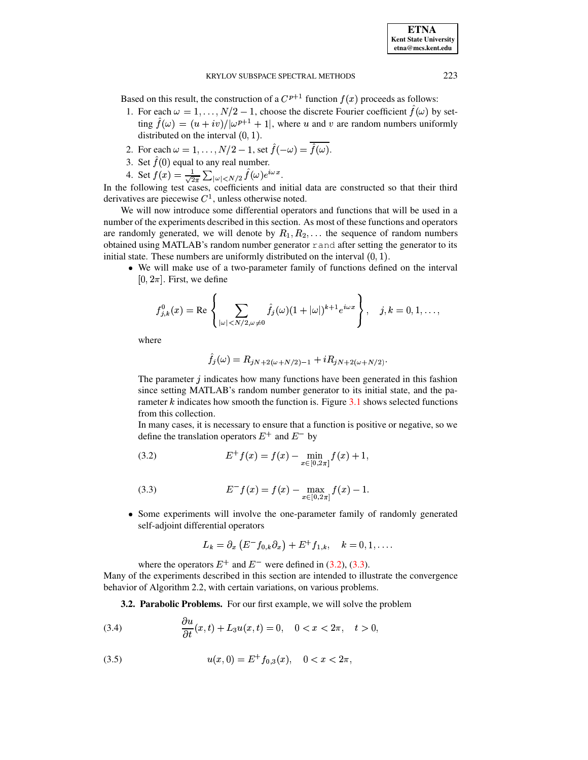Based on this result, the construction of a  $C^{p+1}$  function  $f(x)$  proceeds as follows:

- 1. For each  $\omega = 1, ..., N/2 1$ , choose the discrete Fourier coefficient  $\hat{f}(\omega)$  by setting  $\hat{f}(\omega) = (u + iv)/|\omega^{p+1} + 1|$ , where u and v are random numbers uniformly distributed on the interval  $(0, 1)$ .
- 2. For each  $\omega = 1, \ldots, N/2 1$ , set  $\hat{f}(-\omega) = \overline{\hat{f}(\omega)}$ .
- 3. Set  $\hat{f}(0)$  equal to any real number.
- 4. Set  $f(x) = \frac{1}{\sqrt{2\pi}} \sum_{|\omega| < N/2} \hat{f}(\omega) e^{i\omega x}$ .

In the following test cases, coefficients and initial data are constructed so that their third derivatives are piecewise  $C<sup>1</sup>$ , unless otherwise noted.

We will now introduce some differential operators and functions that will be used in a number of the experiments described in this section. As most of these functions and operators are randomly generated, we will denote by  $R_1, R_2, \ldots$  the sequence of random numbers obtained using MATLAB's random number generator r and after setting the generator to its initial state. These numbers are uniformly distributed on the interval  $(0, 1)$ .

• We will make use of a two-parameter family of functions defined on the interval  $[0, 2\pi]$ . First, we define

$$
f_{j,k}^0(x) = \text{Re}\left\{\sum_{|\omega| < N/2, \omega \neq 0} \hat{f}_j(\omega) (1 + |\omega|)^{k+1} e^{i\omega x} \right\}, \quad j, k = 0, 1, \dots,
$$

where

$$
f_j(\omega) = R_{jN+2(\omega+N/2)-1} + iR_{jN+2(\omega+N/2)}.
$$

The parameter  $j$  indicates how many functions have been generated in this fashion since setting MATLAB's random number generator to its initial state, and the parameter  $k$  indicates how smooth the function is. Figure 3.1 shows selected functions from this collection.

In many cases, it is necessary to ensure that a function is positive or negative, so we define the translation operators  $E^+$  and  $E^-$  by

<span id="page-11-0"></span>(3.2) 
$$
E^+ f(x) = f(x) - \min_{x \in [0, 2\pi]} f(x) + 1,
$$

<span id="page-11-1"></span>(3.3) 
$$
E^- f(x) = f(x) - \max_{x \in [0, 2\pi]} f(x) - 1
$$

• Some experiments will involve the one-parameter family of randomly generated self-adjoint differential operators

$$
L_k=\partial_x\left(E^-f_{0,k}\partial_x\right)+E^+f_{1,k},\quad k=0,1,\ldots.
$$

where the operators  $E^+$  and  $E^-$  were defined in (3.2), (3.3). Many of the experiments described in this section are intended to illustrate the convergence behavior of Algorithm 2.2, with certain variations, on various problems.

3.2. Parabolic Problems. For our first example, we will solve the problem

<span id="page-11-2"></span> $\frac{\partial u}{\partial t}(x,t) + L_3 u(x,t) = 0, \quad 0 < x < 2\pi, \quad t > 0,$  $(3.4)$ 

<span id="page-11-3"></span>(3.5) 
$$
u(x,0) = E^+ f_{0,3}(x), \quad 0 < x < 2\pi,
$$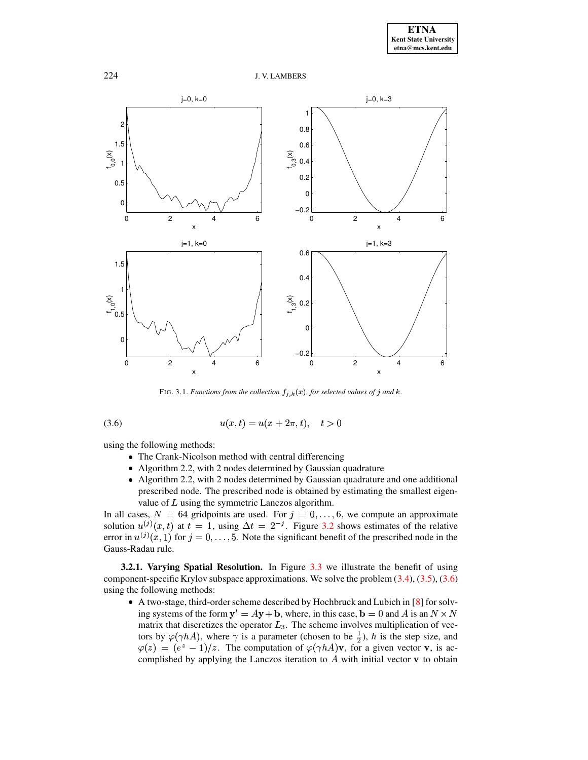

<span id="page-12-1"></span>FIG. 3.1. *Functions from the collection*  $f_{j,k}(x)$ *, for selected values of*  $j$  *and*  $k$ *.* 

<span id="page-12-0"></span>
$$
(3.6) \t\t u(x,t) = u(x+2\pi,t), \t t > 0
$$

using the following methods:

- The Crank-Nicolson method with central differencing
- Algorithm 2.2, with 2 nodes determined by Gaussian quadrature
- Algorithm 2.2, with 2 nodes determined by Gaussian quadrature and one additional prescribed node. The prescribed node is obtained by estimating the smallest eigenvalue of  $L$  using the symmetric Lanczos algorithm.

In all cases,  $N = 64$  gridpoints are used. For  $j = 0, \ldots, 6$ , we compute an approximate solution  $u^{(j)}(x,t)$  at  $t = 1$ , using  $\Delta t = 2^{-j}$ . Figure [3.2](#page-13-0) shows estimates of the relative error in  $u^{(j)}(x, 1)$  for  $j = 0, \ldots, 5$ . Note the significant benefit of the prescribed node in the Gauss-Radau rule.

**3.2.1. Varying Spatial Resolution.** In Figure [3.3](#page-14-0) we illustrate the benefit of using component-specific Krylov subspace approximations. We solve the problem [\(3.4\)](#page-11-2), [\(3.5\)](#page-11-3), [\(3.6\)](#page-12-1) using the following methods:

 $\bullet$  A two-stage, third-order scheme described by Hochbruck and Lubich in [\[8\]](#page-21-3) for solving systems of the form  $y' = Ay + b$ , where, in this case,  $b = 0$  and A is an  $N \times N$ matrix that discretizes the operator  $L_3$ . The scheme involves multiplication of vectors by  $\varphi(\gamma hA)$ , where  $\gamma$  is a parameter (chosen to be  $\frac{1}{2}$ ), h is the step size, and  $\varphi(z) = (e^z - 1)/z$ . The computation of  $\varphi(\gamma hA)$ **v**, for a given vector **v**, is actors by  $\varphi(\gamma hA)$ , where  $\gamma$  is a parameter (chosen to be  $\frac{1}{2}$ ), h is the step size, and complished by applying the Lanczos iteration to  $\overline{A}$  with initial vector  $\bf{v}$  to obtain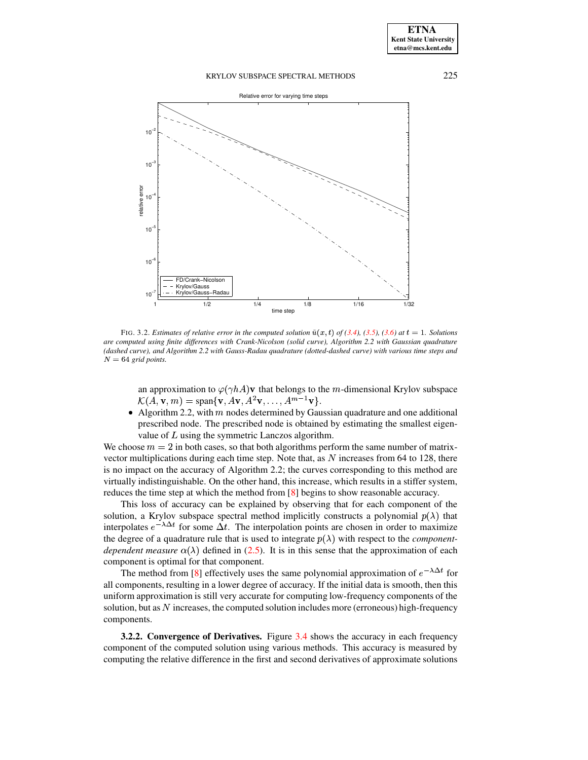

<span id="page-13-0"></span>FIG. 3.2. Estimates of relative error in the computed solution  $\tilde{u}(x, t)$  of [\(3.4\)](#page-11-2), [\(3.5\)](#page-11-3), [\(3.6\)](#page-12-1) at  $t = 1$ . Solutions *are computed using finite differences with Crank-Nicolson (solid curve), Algorithm 2.2 with Gaussian quadrature (dashed curve), and Algorithm 2.2 with Gauss-Radau quadrature (dotted-dashed curve) with various time steps and*  $N = 64$  *grid points.* 

an approximation to  $\varphi(\gamma h A)$  v that belongs to the *m*-dimensional Krylov subspace  $\mathcal{K}(A, \mathbf{v}, m) = \text{span}\{\mathbf{v}, A\mathbf{v}, A^2\mathbf{v}, \dots, A^{m-1}\mathbf{v}\}.$ 

• Algorithm 2.2, with  $m$  nodes determined by Gaussian quadrature and one additional prescribed node. The prescribed node is obtained by estimating the smallest eigenvalue of  $L$  using the symmetric Lanczos algorithm.

We choose  $m = 2$  in both cases, so that both algorithms perform the same number of matrixvector multiplications during each time step. Note that, as  $N$  increases from 64 to 128, there is no impact on the accuracy of Algorithm 2.2; the curves corresponding to this method are virtually indistinguishable. On the other hand, this increase, which results in a stiffer system, reduces the time step at which the method from [\[8\]](#page-21-3) begins to show reasonable accuracy.

This loss of accuracy can be explained by observing that for each component of the solution, a Krylov subspace spectral method implicitly constructs a polynomial  $p(\lambda)$  that interpolates  $e^{-\lambda \Delta t}$  for some  $\Delta t$ . The interpolation points are chosen in order to maximize the degree of a quadrature rule that is used to integrate  $p(\lambda)$  with respect to the *componentdependent measure*  $\alpha(\lambda)$  defined in [\(2.5\)](#page-2-4). It is in this sense that the approximation of each component is optimal for that component.

The method from [\[8\]](#page-21-3) effectively uses the same polynomial approximation of  $e^{-\lambda \Delta t}$  for all components, resulting in a lower degree of accuracy. If the initial data is smooth, then this uniform approximation is still very accurate for computing low-frequency components of the solution, but as  $\overline{N}$  increases, the computed solution includes more (erroneous) high-frequency components.

**3.2.2. Convergence of Derivatives.** Figure [3.4](#page-15-0) shows the accuracy in each frequency component of the computed solution using various methods. This accuracy is measured by computing the relative difference in the first and second derivatives of approximate solutions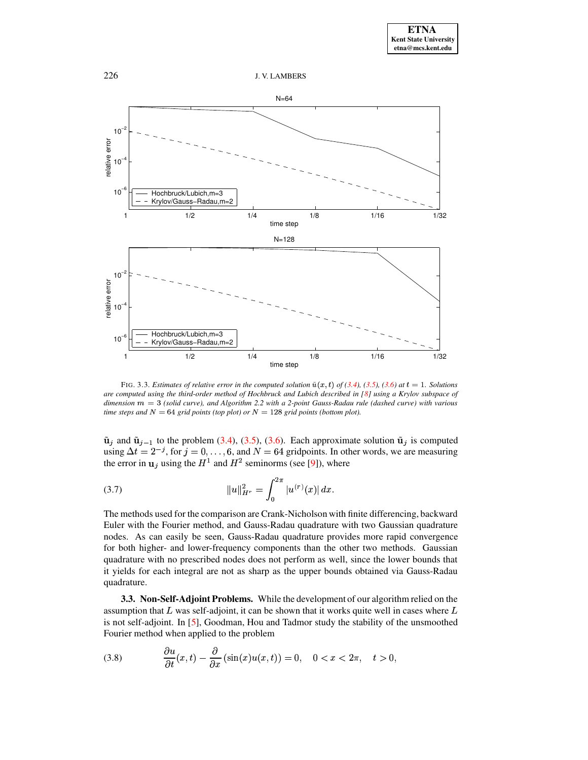

<span id="page-14-0"></span>FIG. 3.3. Estimates of relative error in the computed solution  $\tilde{u}(x,t)$  of [\(3.4\)](#page-11-2), [\(3.5\)](#page-11-3), [\(3.6\)](#page-12-1) at  $t = 1$ . Solutions are computed using the third-order method of Hochbruck and Lubich described in [\[8\]](#page-21-3) using a Krylov subspace of  $d$ *imension*  $m = 3$  (*solid curve*), *and Algorithm* 2.2 *with a* 2-*point Gauss-Radau rule* (*dashed curve*) *with various time steps* and  $N = 64$  *grid points* (*top plot*) *or*  $N = 128$  *grid points* (*bottom plot*).

 $\tilde{\mathbf{u}}_j$  and  $\tilde{\mathbf{u}}_{j-1}$  to the problem [\(3.4\)](#page-11-2), [\(3.5\)](#page-11-3), [\(3.6\)](#page-12-1). Each approximate solution  $\tilde{\mathbf{u}}_j$  is computed using  $\Delta t = 2^{-j}$ , for  $j = 0, \ldots, 6$ , and  $N = 64$  gridpoints. In other words, we are measuring the error in  $\mathbf{u}_i$  using the  $H^1$  and  $H^2$  seminorms (see [\[9\]](#page-21-7)), where

(3.7) 
$$
||u||_{H^r}^2 = \int_0^{2\pi} |u^{(r)}(x)| dx.
$$

The methods used for the comparison are Crank-Nicholson with finite differencing, backward Euler with the Fourier method, and Gauss-Radau quadrature with two Gaussian quadrature nodes. As can easily be seen, Gauss-Radau quadrature provides more rapid convergence for both higher- and lower-frequency components than the other two methods. Gaussian quadrature with no prescribed nodes does not perform as well, since the lower bounds that it yields for each integral are not as sharp as the upper bounds obtained via Gauss-Radau quadrature.

**3.3. Non-Self-Adjoint Problems.** While the development of our algorithm relied on the assumption that  $L$  was self-adjoint, it can be shown that it works quite well in cases where is not self-adjoint. In  $[5]$ , Goodman, Hou and Tadmor study the stability of the unsmoothed Fourier method when applied to the problem

<span id="page-14-1"></span>(3.8) 
$$
\frac{\partial u}{\partial t}(x,t) - \frac{\partial}{\partial x}(\sin(x)u(x,t)) = 0, \quad 0 < x < 2\pi, \quad t > 0,
$$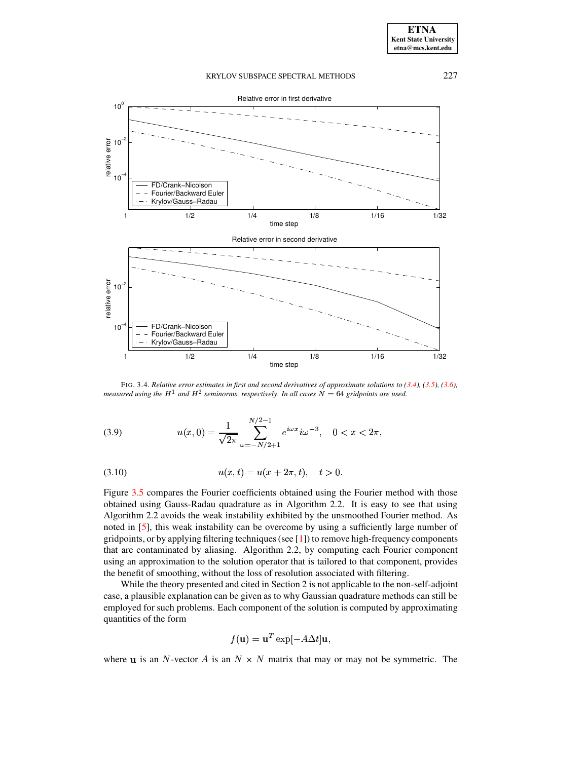

<span id="page-15-0"></span>FIG. 3.4. Relative error estimates in first and second derivatives of approximate solutions to  $(3.4)$ ,  $(3.5)$ ,  $(3.6)$ , *measured using the*  $H^1$  *and*  $H^2$  *seminorms, respectively. In all cases*  $N = 64$  *gridpoints are used.* 

<span id="page-15-1"></span>(3.9) 
$$
u(x, 0) = \frac{1}{\sqrt{2\pi}} \sum_{\omega=-N/2+1}^{N/2-1} e^{i\omega x} i\omega^{-3}, \quad 0 < x < 2\pi,
$$

<span id="page-15-2"></span>(3.10) 
$$
u(x,t) = u(x+2\pi,t), \quad t > 0.
$$

Figure [3.5](#page-17-1) compares the Fourier coefficients obtained using the Fourier method with those obtained using Gauss-Radau quadrature as in Algorithm 2.2. It is easy to see that using Algorithm 2.2 avoids the weak instability exhibited by the unsmoothed Fourier method. As noted in [\[5\]](#page-21-2), this weak instability can be overcome by using a sufficiently large number of gridpoints, or by applying filtering techniques(see [\[1\]](#page-21-0)) to remove high-frequency components that are contaminated by aliasing. Algorithm 2.2, by computing each Fourier component using an approximation to the solution operator that is tailored to that component, provides the benefit of smoothing, without the loss of resolution associated with filtering.

While the theory presented and cited in Section 2 is not applicable to the non-self-adjoint case, a plausible explanation can be given as to why Gaussian quadrature methods can still be employed for such problems. Each component of the solution is computed by approximating quantities of the form

$$
f(\mathbf{u}) = \mathbf{u}^T \exp[-A\Delta t] \mathbf{u},
$$

where **u** is an N-vector A is an  $N \times N$  matrix that may or may not be symmetric. The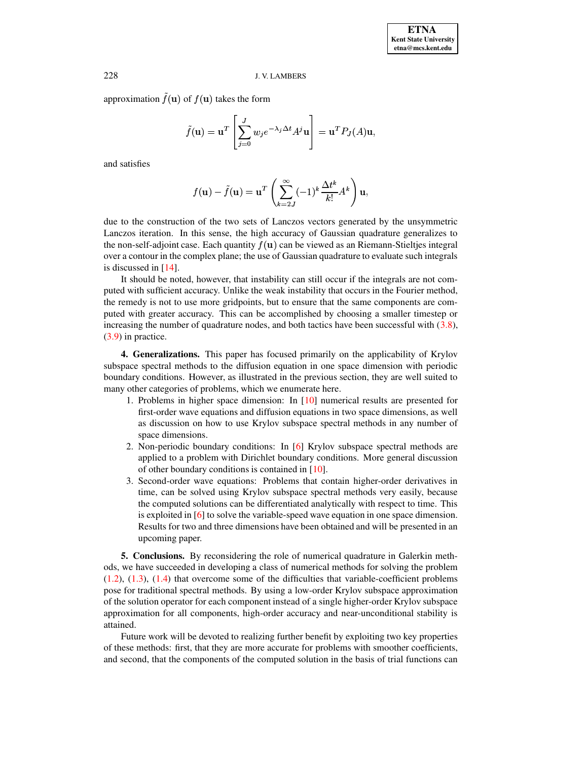## 228 J. V. LAMBERS

approximation  $f(\mathbf{u})$  of  $f(\mathbf{u})$  takes the form

$$
\tilde{f}(\mathbf{u}) = \mathbf{u}^T \left[ \sum_{j=0}^J w_j e^{-\lambda_j \Delta t} A^j \mathbf{u} \right] = \mathbf{u}^T P_J(A) \mathbf{u},
$$

and satisfies

$$
f(\mathbf{u}) - \tilde{f}(\mathbf{u}) = \mathbf{u}^T \left( \sum_{k=2J}^{\infty} (-1)^k \frac{\Delta t^k}{k!} A^k \right) \mathbf{u},
$$

due to the construction of the two sets of Lanczos vectors generated by the unsymmetric Lanczos iteration. In this sense, the high accuracy of Gaussian quadrature generalizes to the non-self-adjoint case. Each quantity  $f(\mathbf{u})$  can be viewed as an Riemann-Stieltjes integral over a contour in the complex plane; the use of Gaussian quadrature to evaluate such integrals is discussed in  $[14]$ .

It should be noted, however, that instability can still occur if the integrals are not computed with sufficient accuracy. Unlike the weak instability that occurs in the Fourier method, the remedy is not to use more gridpoints, but to ensure that the same components are computed with greater accuracy. This can be accomplished by choosing a smaller timestep or increasing the number of quadrature nodes, and both tactics have been successful with  $(3.8)$ , [\(3.9\)](#page-15-1) in practice.

**4. Generalizations.** This paper has focused primarily on the applicability of Krylov subspace spectral methods to the diffusion equation in one space dimension with periodic boundary conditions. However, as illustrated in the previous section, they are well suited to many other categories of problems, which we enumerate here.

- 1. Problems in higher space dimension: In [\[10\]](#page-22-5) numerical results are presented for first-order wave equations and diffusion equations in two space dimensions, as well as discussion on how to use Krylov subspace spectral methods in any number of space dimensions.
- 2. Non-periodic boundary conditions: In [\[6\]](#page-21-8) Krylov subspace spectral methods are applied to a problem with Dirichlet boundary conditions. More general discussion of other boundary conditions is contained in [\[10\]](#page-22-5).
- 3. Second-order wave equations: Problems that contain higher-order derivatives in time, can be solved using Krylov subspace spectral methods very easily, because the computed solutions can be differentiated analytically with respect to time. This is exploited in [\[6\]](#page-21-8) to solve the variable-speed wave equation in one space dimension. Results for two and three dimensions have been obtained and will be presented in an upcoming paper.

**5. Conclusions.** By reconsidering the role of numerical quadrature in Galerkin methods, we have succeeded in developing a class of numerical methods for solving the problem  $(1.2)$ ,  $(1.3)$ ,  $(1.4)$  that overcome some of the difficulties that variable-coefficient problems pose for traditional spectral methods. By using a low-order Krylov subspace approximation of the solution operator for each component instead of a single higher-order Krylov subspace approximation for all components, high-order accuracy and near-unconditional stability is attained.

Future work will be devoted to realizing further benefit by exploiting two key properties of these methods: first, that they are more accurate for problems with smoother coefficients, and second, that the components of the computed solution in the basis of trial functions can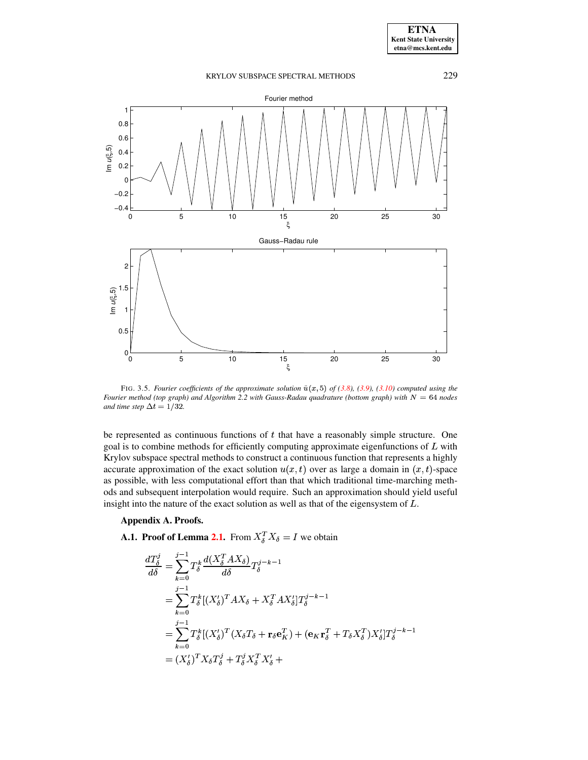# KRYLOV SUBSPACE SPECTRAL METHODS 229 0 5 10 15 20 25 30 −0.4 −0.2 0 0.2 0.4 0.6 0.8 1 Fourier method ξ Im *u*(ξ,5) 0.5 1 1.5 2 Gauss−Radau rule Im *u*(ξ,5)

<span id="page-17-1"></span>FIG. 3.5. *Fourier coefficients of the approximate solution*  $\tilde{u}(x,5)$  *of* [\(3.8\)](#page-14-1), [\(3.9\)](#page-15-1), [\(3.10\)](#page-15-2) *computed using the Fourier* method (top graph) and Algorithm 2.2 with Gauss-Radau quadrature (bottom graph) with  $N = 64$  nodes *and time step*  $\Delta t = 1/32$ .

0 5 10 15 20 25 30

 $rac{15}{5}$ 

be represented as continuous functions of  $t$  that have a reasonably simple structure. One goal is to combine methods for efficiently computing approximate eigenfunctions of  $L$  with Krylov subspace spectral methods to construct a continuous function that represents a highly accurate approximation of the exact solution  $u(x, t)$  over as large a domain in  $(x, t)$ -space as possible, with less computational effort than that which traditional time-marching methods and subsequent interpolation would require. Such an approximation should yield useful insight into the nature of the exact solution as well as that of the eigensystem of  $L$ .

## <span id="page-17-0"></span>**Appendix A. Proofs.**

 $0<sub>0</sub>$ 

**A.1.** Proof of Lemma [2.1.](#page-6-0) From  $X_{\delta}^T X_{\delta} = I$  we obtain

$$
\frac{dT_{\delta}^{j}}{d\delta} = \sum_{k=0}^{j-1} T_{\delta}^{k} \frac{d(X_{\delta}^{T} A X_{\delta})}{d\delta} T_{\delta}^{j-k-1}
$$
\n
$$
= \sum_{k=0}^{j-1} T_{\delta}^{k} [(X_{\delta}^{\prime})^{T} A X_{\delta} + X_{\delta}^{T} A X_{\delta}^{\prime}] T_{\delta}^{j-k-1}
$$
\n
$$
= \sum_{k=0}^{j-1} T_{\delta}^{k} [(X_{\delta}^{\prime})^{T} (X_{\delta} T_{\delta} + \mathbf{r}_{\delta} \mathbf{e}_{K}^{T}) + (\mathbf{e}_{K} \mathbf{r}_{\delta}^{T} + T_{\delta} X_{\delta}^{T}) X_{\delta}^{\prime}] T_{\delta}^{j-k-1}
$$
\n
$$
= (X_{\delta}^{\prime})^{T} X_{\delta} T_{\delta}^{j} + T_{\delta}^{j} X_{\delta}^{T} X_{\delta}^{\prime} +
$$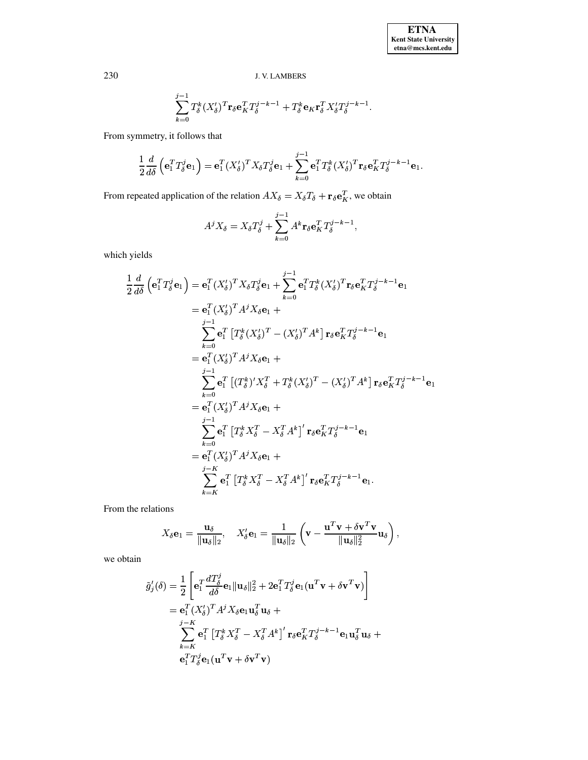$$
\sum_{k=0}^{j-1} T_{\delta}^k (X_{\delta}')^T \mathbf{r}_{\delta} \mathbf{e}_K^T T_{\delta}^{j-k-1} + T_{\delta}^k \mathbf{e}_K \mathbf{r}_{\delta}^T X_{\delta}' T_{\delta}^{j-k-1}.
$$

From symmetry, it follows that

$$
\frac{1}{2}\frac{d}{d\delta}\left(\mathbf{e}_1^T T_{\delta}^j \mathbf{e}_1\right) = \mathbf{e}_1^T (X_{\delta}')^T X_{\delta} T_{\delta}' \mathbf{e}_1 + \sum_{k=0}^{j-1} \mathbf{e}_1^T T_{\delta}^k (X_{\delta}')^T \mathbf{r}_{\delta} \mathbf{e}_K^T T_{\delta}^{j-k-1} \mathbf{e}_1.
$$

From repeated application of the relation  $AX_{\delta} = X_{\delta}T_{\delta} + \mathbf{r}_{\delta}\mathbf{e}_K^T$ , we obtain

$$
A^{j} X_{\delta} = X_{\delta} T_{\delta}^{j} + \sum_{k=0}^{j-1} A^{k} \mathbf{r}_{\delta} \mathbf{e}_{K}^{T} T_{\delta}^{j-k-1},
$$

which yields

$$
\frac{1}{2} \frac{d}{d\delta} \left( \mathbf{e}_{1}^{T} T_{\delta}^{j} \mathbf{e}_{1} \right) = \mathbf{e}_{1}^{T} (X_{\delta}^{\prime})^{T} X_{\delta} T_{\delta}^{j} \mathbf{e}_{1} + \sum_{k=0}^{j-1} \mathbf{e}_{1}^{T} T_{\delta}^{k} (X_{\delta}^{\prime})^{T} \mathbf{r}_{\delta} \mathbf{e}_{K}^{T} T_{\delta}^{j-k-1} \mathbf{e}_{1}
$$
\n
$$
= \mathbf{e}_{1}^{T} (X_{\delta}^{\prime})^{T} A^{j} X_{\delta} \mathbf{e}_{1} + \sum_{k=0}^{j-1} \mathbf{e}_{1}^{T} \left[ T_{\delta}^{k} (X_{\delta}^{\prime})^{T} - (X_{\delta}^{\prime})^{T} A^{k} \right] \mathbf{r}_{\delta} \mathbf{e}_{K}^{T} T_{\delta}^{j-k-1} \mathbf{e}_{1}
$$
\n
$$
= \mathbf{e}_{1}^{T} (X_{\delta}^{\prime})^{T} A^{j} X_{\delta} \mathbf{e}_{1} + \sum_{k=0}^{j-1} \mathbf{e}_{1}^{T} \left[ (T_{\delta}^{k})^{t} X_{\delta}^{T} + T_{\delta}^{k} (X_{\delta}^{\prime})^{T} - (X_{\delta}^{\prime})^{T} A^{k} \right] \mathbf{r}_{\delta} \mathbf{e}_{K}^{T} T_{\delta}^{j-k-1} \mathbf{e}_{1}
$$
\n
$$
= \mathbf{e}_{1}^{T} (X_{\delta}^{\prime})^{T} A^{j} X_{\delta} \mathbf{e}_{1} + \sum_{k=0}^{j-1} \mathbf{e}_{1}^{T} \left[ T_{\delta}^{k} X_{\delta}^{T} - X_{\delta}^{T} A^{k} \right] \mathbf{r}_{\delta} \mathbf{e}_{K}^{T} T_{\delta}^{j-k-1} \mathbf{e}_{1}
$$
\n
$$
= \mathbf{e}_{1}^{T} (X_{\delta}^{\prime})^{T} A^{j} X_{\delta} \mathbf{e}_{1} + \sum_{k=k}^{j-K} \mathbf{e}_{1}^{T} \left[ T_{\delta}^{k} X_{\delta}^{T} -
$$

From the relations

$$
X_{\delta} \mathbf{e}_1 = \frac{\mathbf{u}_{\delta}}{\|\mathbf{u}_{\delta}\|_2}, \quad X'_{\delta} \mathbf{e}_1 = \frac{1}{\|\mathbf{u}_{\delta}\|_2} \left(\mathbf{v} - \frac{\mathbf{u}^T \mathbf{v} + \delta \mathbf{v}^T \mathbf{v}}{\|\mathbf{u}_{\delta}\|_2^2} \mathbf{u}_{\delta}\right),
$$

we obtain

$$
\tilde{g}'_j(\delta) = \frac{1}{2} \left[ \mathbf{e}_1^T \frac{dT_{\delta}^j}{d\delta} \mathbf{e}_1 \|\mathbf{u}_{\delta}\|_2^2 + 2 \mathbf{e}_1^T T_{\delta}^j \mathbf{e}_1 (\mathbf{u}^T \mathbf{v} + \delta \mathbf{v}^T \mathbf{v}) \right]
$$
  
\n
$$
= \mathbf{e}_1^T (X_{\delta}')^T A^j X_{\delta} \mathbf{e}_1 \mathbf{u}_{\delta}^T \mathbf{u}_{\delta} + \sum_{k=K}^{j-K} \mathbf{e}_1^T \left[ T_{\delta}^k X_{\delta}^T - X_{\delta}^T A^k \right]' \mathbf{r}_{\delta} \mathbf{e}_K^T T_{\delta}^{j-k-1} \mathbf{e}_1 \mathbf{u}_{\delta}^T \mathbf{u}_{\delta} + \mathbf{e}_1^T T_{\delta}^j \mathbf{e}_1 (\mathbf{u}^T \mathbf{v} + \delta \mathbf{v}^T \mathbf{v})
$$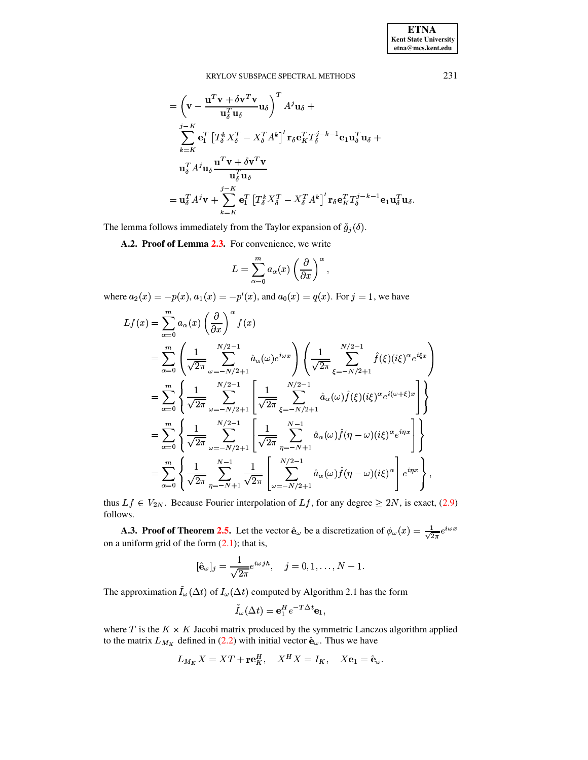**ETNA Kent State University**  $etna@mcs. kent.edu$ 

KRYLOV SUBSPACE SPECTRAL METHODS

$$
= \left(\mathbf{v} - \frac{\mathbf{u}^T \mathbf{v} + \delta \mathbf{v}^T \mathbf{v}}{\mathbf{u}_\delta^T \mathbf{u}_\delta} \mathbf{u}_\delta\right)^T A^j \mathbf{u}_\delta +
$$
  
\n
$$
\sum_{k=K}^{j-K} \mathbf{e}_1^T \left[T_\delta^k X_\delta^T - X_\delta^T A^k\right]^T \mathbf{r}_\delta \mathbf{e}_K^T T_\delta^{j-k-1} \mathbf{e}_1 \mathbf{u}_\delta^T \mathbf{u}_\delta +
$$
  
\n
$$
\mathbf{u}_\delta^T A^j \mathbf{u}_\delta \frac{\mathbf{u}^T \mathbf{v} + \delta \mathbf{v}^T \mathbf{v}}{\mathbf{u}_\delta^T \mathbf{u}_\delta}
$$
  
\n
$$
= \mathbf{u}_\delta^T A^j \mathbf{v} + \sum_{k=K}^{j-K} \mathbf{e}_1^T \left[T_\delta^k X_\delta^T - X_\delta^T A^k\right]^T \mathbf{r}_\delta \mathbf{e}_K^T T_\delta^{j-k-1} \mathbf{e}_1 \mathbf{u}_\delta^T \mathbf{u}_\delta
$$

<span id="page-19-0"></span>The lemma follows immediately from the Taylor expansion of  $\tilde{g}_j(\delta)$ .

A.2. Proof of Lemma 2.3. For convenience, we write

$$
L = \sum_{\alpha=0}^{m} a_{\alpha}(x) \left(\frac{\partial}{\partial x}\right)^{\alpha},
$$

where  $a_2(x) = -p(x)$ ,  $a_1(x) = -p'(x)$ , and  $a_0(x) = q(x)$ . For  $j = 1$ , we have

$$
Lf(x) = \sum_{\alpha=0}^{m} a_{\alpha}(x) \left(\frac{\partial}{\partial x}\right)^{\alpha} f(x)
$$
  
\n
$$
= \sum_{\alpha=0}^{m} \left(\frac{1}{\sqrt{2\pi}} \sum_{\omega=-N/2+1}^{N/2-1} \hat{a}_{\alpha}(\omega) e^{i\omega x}\right) \left(\frac{1}{\sqrt{2\pi}} \sum_{\xi=-N/2+1}^{N/2-1} \hat{f}(\xi) (i\xi)^{\alpha} e^{i\xi x}\right)
$$
  
\n
$$
= \sum_{\alpha=0}^{m} \left\{\frac{1}{\sqrt{2\pi}} \sum_{\omega=-N/2+1}^{N/2-1} \left[\frac{1}{\sqrt{2\pi}} \sum_{\xi=-N/2+1}^{N/2-1} \hat{a}_{\alpha}(\omega) \hat{f}(\xi) (i\xi)^{\alpha} e^{i(\omega+\xi)x}\right]\right\}
$$
  
\n
$$
= \sum_{\alpha=0}^{m} \left\{\frac{1}{\sqrt{2\pi}} \sum_{\omega=-N/2+1}^{N/2-1} \left[\frac{1}{\sqrt{2\pi}} \sum_{\eta=-N+1}^{N-1} \hat{a}_{\alpha}(\omega) \hat{f}(\eta-\omega) (i\xi)^{\alpha} e^{i\eta x}\right]\right\}
$$
  
\n
$$
= \sum_{\alpha=0}^{m} \left\{\frac{1}{\sqrt{2\pi}} \sum_{\eta=-N+1}^{N-1} \frac{1}{\sqrt{2\pi}} \left[\sum_{\omega=-N/2+1}^{N/2-1} \hat{a}_{\alpha}(\omega) \hat{f}(\eta-\omega) (i\xi)^{\alpha}\right] e^{i\eta x}\right\},
$$

thus  $Lf \in V_{2N}$ . Because Fourier interpolation of  $Lf$ , for any degree  $\geq 2N$ , is exact, (2.9) follows.

<span id="page-19-1"></span>**A.3. Proof of Theorem 2.5.** Let the vector  $\hat{\mathbf{e}}_{\omega}$  be a discretization of  $\phi_{\omega}(x) = \frac{1}{\sqrt{2\pi}}e^{i\omega x}$ on a uniform grid of the form  $(2.1)$ ; that is,

$$
[\hat{\mathbf{e}}_{\omega}]_j = \frac{1}{\sqrt{2\pi}} e^{i\omega j h}, \quad j = 0, 1, ..., N - 1.
$$

The approximation  $\tilde{I}_{\omega}(\Delta t)$  of  $I_{\omega}(\Delta t)$  computed by Algorithm 2.1 has the form

$$
\tilde{I}_{\omega}(\Delta t) = \mathbf{e}_1^H e^{-T\Delta t} \mathbf{e}_1
$$

where  $T$  is the  $K \times K$  Jacobi matrix produced by the symmetric Lanczos algorithm applied to the matrix  $L_{M_K}$  defined in (2.2) with initial vector  $\hat{\mathbf{e}}_{\omega}$ . Thus we have

$$
L_{M_K} X = X T + \mathbf{r} \mathbf{e}_K^H, \quad X^H X = I_K, \quad X \mathbf{e}_1 = \hat{\mathbf{e}}_\omega.
$$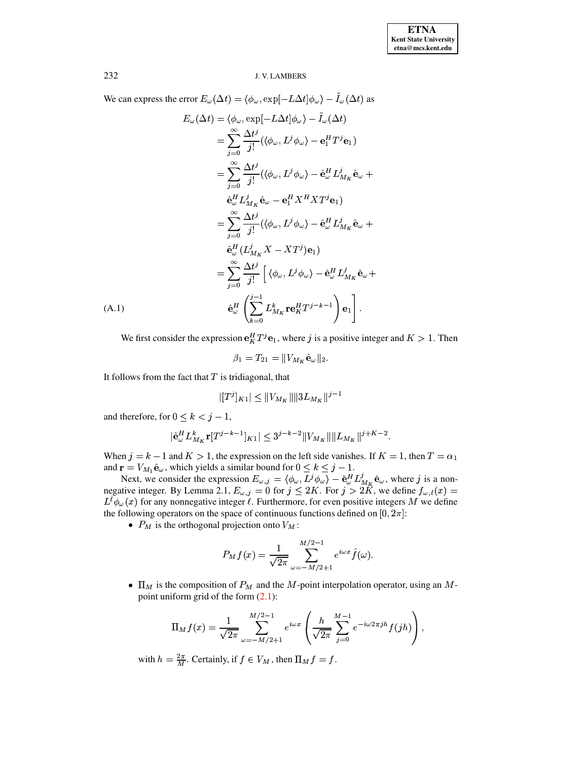We can express the error  $E_\omega(\Delta t)=\langle\phi_\omega,\exp[-L\Delta t]\phi_\omega\rangle-\tilde{I}_\omega(\Delta t)$  as

<span id="page-20-0"></span>
$$
E_{\omega}(\Delta t) = \langle \phi_{\omega}, \exp[-L\Delta t] \phi_{\omega} \rangle - \tilde{I}_{\omega}(\Delta t)
$$
  
\n
$$
= \sum_{j=0}^{\infty} \frac{\Delta t^{j}}{j!} (\langle \phi_{\omega}, L^{j} \phi_{\omega} \rangle - \mathbf{e}_{1}^{H} T^{j} \mathbf{e}_{1})
$$
  
\n
$$
= \sum_{j=0}^{\infty} \frac{\Delta t^{j}}{j!} (\langle \phi_{\omega}, L^{j} \phi_{\omega} \rangle - \hat{\mathbf{e}}_{\omega}^{H} L^{j}_{M_{K}} \hat{\mathbf{e}}_{\omega} + \hat{\mathbf{e}}_{\omega}^{H} L^{j}_{M_{K}} \hat{\mathbf{e}}_{\omega} - \mathbf{e}_{1}^{H} X^{H} X T^{j} \mathbf{e}_{1})
$$
  
\n
$$
= \sum_{j=0}^{\infty} \frac{\Delta t^{j}}{j!} (\langle \phi_{\omega}, L^{j} \phi_{\omega} \rangle - \hat{\mathbf{e}}_{\omega}^{H} L^{j}_{M_{K}} \hat{\mathbf{e}}_{\omega} + \hat{\mathbf{e}}_{\omega}^{H} (L^{j}_{M_{K}} X - X T^{j}) \mathbf{e}_{1})
$$
  
\n
$$
= \sum_{j=0}^{\infty} \frac{\Delta t^{j}}{j!} [\langle \phi_{\omega}, L^{j} \phi_{\omega} \rangle - \hat{\mathbf{e}}_{\omega}^{H} L^{j}_{M_{K}} \hat{\mathbf{e}}_{\omega} + \hat{\mathbf{e}}_{\omega}^{H} \left( \sum_{k=0}^{j-1} L^{k}_{M_{K}} \mathbf{r} \mathbf{e}_{k}^{H} T^{j-k-1} \right) \mathbf{e}_{1}].
$$
  
\n(A.1)

We first consider the expression  $e_K^H T^j e_1$ , where j is a positive integer and  $K > 1$ . Then

$$
\beta_1 = T_{21} = ||V_{M_K} \hat{\mathbf{e}}_\omega||_2
$$

It follows from the fact that  $T$  is tridiagonal, that

$$
|[T^j]_{K1}| \leq \|V_{M_K}\| \|3L_{M_K}\|^{j-1}
$$

and therefore, for  $0 \leq k < j - 1$ ,

$$
|\hat{{\bf e}}^H_\omega L_{M_K}^k {\bf r}[T^{j-k-1}]_{K1}| \le 3^{j-k-2} \|V_{M_K}\| \|L_{M_K}\|^{j+K-2}.
$$

When  $j = k - 1$  and  $K > 1$ , the expression on the left side vanishes. If  $K = 1$ , then  $T = \alpha_1$ and  $\mathbf{r} = V_{M_1} \hat{\mathbf{e}}_{\omega}$ , which yields a similar bound for  $0 \le k \le j - 1$ .

Next, we consider the expression  $E_{\omega,j} = \langle \phi_{\omega}, \overline{L}^j \phi_{\omega} \rangle - \hat{\mathbf{e}}_{\omega}^H L_{M_K}^j \hat{\mathbf{e}}_{\omega}$ , where j is a non-<br>negative integer. By Lemma 2.1,  $E_{\omega,j} = 0$  for  $j \le 2K$ . For  $j > 2K$ , we define  $f_{\omega,\ell}(x) =$  $L^{\ell}\phi_{\omega}(x)$  for any nonnegative integer  $\ell$ . Furthermore, for even positive integers M we define the following operators on the space of continuous functions defined on  $[0, 2\pi]$ :

•  $P_M$  is the orthogonal projection onto  $V_M$ :

$$
P_M f(x) = \frac{1}{\sqrt{2\pi}} \sum_{\omega = -M/2 + 1}^{M/2 - 1} e^{i\omega x} \hat{f}(\omega).
$$

•  $\Pi_M$  is the composition of  $P_M$  and the M-point interpolation operator, using an Mpoint uniform grid of the form  $(2.1)$ :

$$
\Pi_M f(x) = \frac{1}{\sqrt{2\pi}} \sum_{\omega = -M/2+1}^{M/2-1} e^{i\omega x} \left( \frac{h}{\sqrt{2\pi}} \sum_{j=0}^{M-1} e^{-i\omega 2\pi j h} f(jh) \right),
$$

with  $h = \frac{2\pi}{M}$ . Certainly, if  $f \in V_M$ , then  $\Pi_M f = f$ .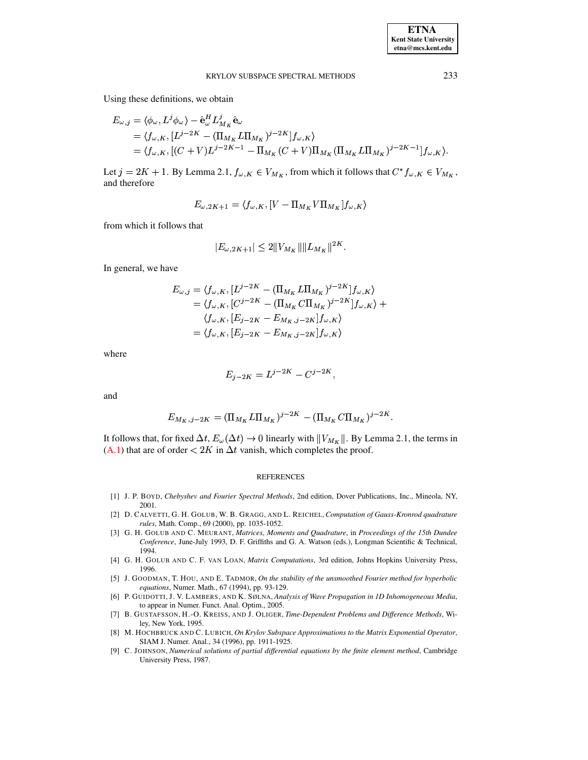Using these definitions, we obtain

$$
E_{\omega,j} = \langle \phi_{\omega}, L^{j} \phi_{\omega} \rangle - \hat{\mathbf{e}}_{\omega}^{H} L_{M_{K}}^{j} \hat{\mathbf{e}}_{\omega}
$$
  
=  $\langle f_{\omega,K}, [L^{j-2K} - (\Pi_{M_{K}} L \Pi_{M_{K}})^{j-2K}] f_{\omega,K} \rangle$   
=  $\langle f_{\omega,K}, [(C+V)L^{j-2K-1} - \Pi_{M_{K}} (C+V) \Pi_{M_{K}} (\Pi_{M_{K}} L \Pi_{M_{K}})^{j-2K-1}] f_{\omega,K} \rangle.$ 

Let  $j = 2K + 1$ . By Lemma 2.1,  $f_{\omega,K} \in V_{M_K}$ , from which it follows that  $C^* f_{\omega,K} \in V_{M_K}$ , and therefore

$$
E_{\omega,2K+1}=\langle f_{\omega,K},[V-\Pi_{M_K}V\Pi_{M_K}]f_{\omega,K}\rangle
$$

from which it follows that

$$
|E_{\omega,2K+1}| \le 2\|V_{M_K}\|\|L_{M_K}\|^{2K}
$$

In general, we have

$$
E_{\omega,j} = \langle f_{\omega,K}, [L^{j-2K} - (\Pi_{M_K} L \Pi_{M_K})^{j-2K}] f_{\omega,K} \rangle
$$
  
\n
$$
= \langle f_{\omega,K}, [C^{j-2K} - (\Pi_{M_K} C \Pi_{M_K})^{j-2K}] f_{\omega,K} \rangle +
$$
  
\n
$$
\langle f_{\omega,K}, [E_{j-2K} - E_{M_K,j-2K}] f_{\omega,K} \rangle
$$
  
\n
$$
= \langle f_{\omega,K}, [E_{j-2K} - E_{M_K,j-2K}] f_{\omega,K} \rangle
$$

where

$$
E_{j-2K} = L^{j-2K} - C^{j-2K},
$$

and

$$
E_{M_K,j-2K} = (\Pi_{M_K} L \Pi_{M_K})^{j-2K} - (\Pi_{M_K} C \Pi_{M_K})^{j-2K}
$$

It follows that, for fixed  $\Delta t$ ,  $E_{\omega}(\Delta t) \rightarrow 0$  linearly with  $||V_{M_K}||$ . By Lemma 2.1, the terms in  $(A.1)$  that are of order  $\langle 2K \rangle$  in  $\Delta t$  vanish, which completes the proof.

#### **REFERENCES**

- <span id="page-21-0"></span>[1] J. P. BOYD, Chebyshev and Fourier Spectral Methods, 2nd edition, Dover Publications, Inc., Mineola, NY, 2001.
- <span id="page-21-5"></span>[2] D. CALVETTI, G. H. GOLUB, W. B. GRAGG, AND L. REICHEL, Computation of Gauss-Kronrod quadrature rules, Math. Comp., 69 (2000), pp. 1035-1052.
- <span id="page-21-4"></span>[3] G. H. GOLUB AND C. MEURANT, Matrices, Moments and Quadrature, in Proceedings of the 15th Dundee Conference, June-July 1993, D. F. Griffiths and G. A. Watson (eds.), Longman Scientific & Technical, 1994.
- <span id="page-21-6"></span>[4] G. H. GOLUB AND C. F. VAN LOAN, Matrix Computations, 3rd edition, Johns Hopkins University Press, 1996.
- <span id="page-21-2"></span>[5] J. GOODMAN, T. HOU, AND E. TADMOR, On the stability of the unsmoothed Fourier method for hyperbolic equations, Numer. Math., 67 (1994), pp. 93-129.
- <span id="page-21-8"></span>[6] P. GUIDOTTI, J. V. LAMBERS, AND K. SØLNA, Analysis of Wave Propagation in 1D Inhomogeneous Media, to appear in Numer. Funct. Anal. Optim., 2005.
- <span id="page-21-1"></span>[7] B. GUSTAFSSON, H.-O. KREISS, AND J. OLIGER, Time-Dependent Problems and Difference Methods, Wiley, New York, 1995.
- <span id="page-21-3"></span>[8] M. HOCHBRUCK AND C. LUBICH, On Krylov Subspace Approximations to the Matrix Exponential Operator, SIAM J. Numer. Anal., 34 (1996), pp. 1911-1925.
- <span id="page-21-7"></span>[9] C. JOHNSON, Numerical solutions of partial differential equations by the finite element method, Cambridge University Press, 1987.